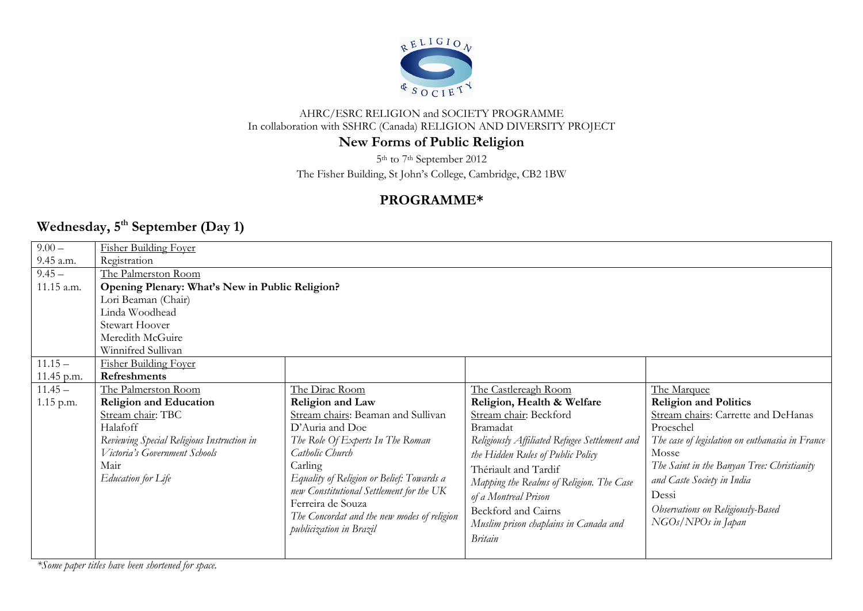

### AHRC/ESRC RELIGION and SOCIETY PROGRAMME In collaboration with SSHRC (Canada) RELIGION AND DIVERSITY PROJECT

# **New Forms of Public Religion**

5th to 7th September 2012

The Fisher Building, St John's College, Cambridge, CB2 1BW

# **PROGRAMME\***

# **Wednesday, 5 th September (Day 1)**

| $9.00 -$   | <b>Fisher Building Foyer</b>                    |                                             |                                               |                                                 |
|------------|-------------------------------------------------|---------------------------------------------|-----------------------------------------------|-------------------------------------------------|
| 9.45 a.m.  | Registration                                    |                                             |                                               |                                                 |
| $9.45 -$   | The Palmerston Room                             |                                             |                                               |                                                 |
| 11.15 a.m. | Opening Plenary: What's New in Public Religion? |                                             |                                               |                                                 |
|            | Lori Beaman (Chair)                             |                                             |                                               |                                                 |
|            | Linda Woodhead                                  |                                             |                                               |                                                 |
|            | <b>Stewart Hoover</b>                           |                                             |                                               |                                                 |
|            | Meredith McGuire                                |                                             |                                               |                                                 |
|            | Winnifred Sullivan                              |                                             |                                               |                                                 |
| $11.15 -$  | <b>Fisher Building Foyer</b>                    |                                             |                                               |                                                 |
| 11.45 p.m. | <b>Refreshments</b>                             |                                             |                                               |                                                 |
| $11.45 -$  | The Palmerston Room                             | The Dirac Room                              | The Castlereagh Room                          | The Marquee                                     |
| 1.15 p.m.  | <b>Religion and Education</b>                   | Religion and Law                            | Religion, Health & Welfare                    | <b>Religion and Politics</b>                    |
|            | Stream chair: TBC                               | Stream chairs: Beaman and Sullivan          | Stream chair: Beckford                        | Stream chairs: Carrette and DeHanas             |
|            | Halafoff                                        | D'Auria and Doe                             | Bramadat                                      | Proeschel                                       |
|            |                                                 |                                             |                                               |                                                 |
|            | Reviewing Special Religious Instruction in      | The Role Of Experts In The Roman            | Religiously Affiliated Refugee Settlement and | The case of legislation on euthanasia in France |
|            | Victoria's Government Schools                   | Catholic Church                             | the Hidden Rules of Public Policy             | Mosse                                           |
|            | Mair                                            | Carling                                     |                                               | The Saint in the Banyan Tree: Christianity      |
|            | Education for Life                              | Equality of Religion or Belief: Towards a   | Thériault and Tardif                          | and Caste Society in India                      |
|            |                                                 | new Constitutional Settlement for the UK    | Mapping the Realms of Religion. The Case      |                                                 |
|            |                                                 | Ferreira de Souza                           | of a Montreal Prison                          | Dessi                                           |
|            |                                                 | The Concordat and the new modes of religion | Beckford and Cairns                           | Observations on Religiously-Based               |
|            |                                                 | publicization in Brazil                     | Muslim prison chaplains in Canada and         | $NGOs/NPOS$ in Japan                            |
|            |                                                 |                                             | <b>Britain</b>                                |                                                 |

*\*Some paper titles have been shortened for space.*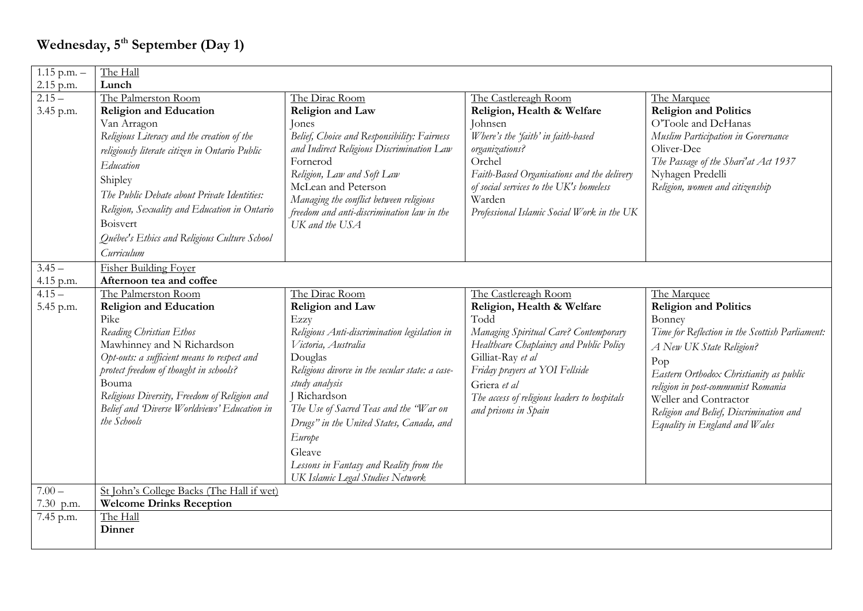| $1.15$ p.m. $-$                                                                                                                                 | The Hall                                                                 |  |  |  |  |
|-------------------------------------------------------------------------------------------------------------------------------------------------|--------------------------------------------------------------------------|--|--|--|--|
| 2.15 p.m.<br>Lunch                                                                                                                              |                                                                          |  |  |  |  |
| $2.15 -$<br>The Palmerston Room<br>The Dirac Room<br>The Castlereagh Room                                                                       | The Marquee                                                              |  |  |  |  |
| <b>Religion and Law</b><br>Religion, Health & Welfare<br><b>Religion and Education</b><br>3.45 p.m.                                             | <b>Religion and Politics</b>                                             |  |  |  |  |
| Van Arragon<br>Johnsen<br>Jones                                                                                                                 | O'Toole and DeHanas                                                      |  |  |  |  |
| Belief, Choice and Responsibility: Fairness<br>Where's the 'faith' in faith-based<br>Religious Literacy and the creation of the                 | Muslim Participation in Governance                                       |  |  |  |  |
| and Indirect Religious Discrimination Law<br>organizations?<br>religiously literate citizen in Ontario Public                                   | Oliver-Dee                                                               |  |  |  |  |
| Orchel<br>Fornerod<br>Education                                                                                                                 | The Passage of the Shari'at Act 1937                                     |  |  |  |  |
| Religion, Law and Soft Law<br>Faith-Based Organisations and the delivery<br>Shipley                                                             | Nyhagen Predelli                                                         |  |  |  |  |
| McLean and Peterson<br>of social services to the UK's homeless<br>The Public Debate about Private Identities:                                   | Religion, women and citizenship                                          |  |  |  |  |
| Managing the conflict between religious<br>Warden<br>Religion, Sexuality and Education in Ontario<br>freedom and anti-discrimination law in the |                                                                          |  |  |  |  |
| Professional Islamic Social Work in the UK<br>Boisvert<br>UK and the USA                                                                        |                                                                          |  |  |  |  |
| Québec's Ethics and Religious Culture School                                                                                                    |                                                                          |  |  |  |  |
| Curriculum                                                                                                                                      |                                                                          |  |  |  |  |
|                                                                                                                                                 |                                                                          |  |  |  |  |
| <b>Fisher Building Foyer</b><br>$3.45 -$                                                                                                        |                                                                          |  |  |  |  |
| Afternoon tea and coffee<br>4.15 p.m.                                                                                                           |                                                                          |  |  |  |  |
| $4.15 -$<br>The Palmerston Room<br>The Dirac Room<br>The Castlereagh Room                                                                       | The Marquee                                                              |  |  |  |  |
| <b>Religion and Law</b><br><b>Religion and Education</b><br>Religion, Health & Welfare<br>5.45 p.m.<br>Todd<br>Pike<br>Ezzy                     | <b>Religion and Politics</b><br>Bonney                                   |  |  |  |  |
| Reading Christian Ethos<br>Religious Anti-discrimination legislation in<br>Managing Spiritual Care? Contemporary                                | Time for Reflection in the Scottish Parliament:                          |  |  |  |  |
| Mawhinney and N Richardson<br>Victoria, Australia<br>Healthcare Chaplaincy and Public Policy                                                    |                                                                          |  |  |  |  |
| Opt-outs: a sufficient means to respect and<br>Gilliat-Ray et al<br>Douglas                                                                     | A New UK State Religion?                                                 |  |  |  |  |
| protect freedom of thought in schools?<br>Friday prayers at YOI Fellside<br>Religious divorce in the secular state: a case-                     | Pop                                                                      |  |  |  |  |
| Bouma<br>study analysis<br>Griera et al                                                                                                         | Eastern Orthodox Christianity as public                                  |  |  |  |  |
| Religious Diversity, Freedom of Religion and<br>Richardson<br>The access of religious leaders to hospitals                                      | religion in post-communist Romania                                       |  |  |  |  |
| Belief and Diverse Worldviews' Education in<br>The Use of Sacred Teas and the "War on<br>and prisons in Spain                                   | Weller and Contractor                                                    |  |  |  |  |
| the Schools<br>Drugs" in the United States, Canada, and                                                                                         | Religion and Belief, Discrimination and<br>Equality in England and Wales |  |  |  |  |
| Europe                                                                                                                                          |                                                                          |  |  |  |  |
| Gleave                                                                                                                                          |                                                                          |  |  |  |  |
| Lessons in Fantasy and Reality from the                                                                                                         |                                                                          |  |  |  |  |
| UK Islamic Legal Studies Network                                                                                                                |                                                                          |  |  |  |  |
| $7.00 -$<br>St John's College Backs (The Hall if wet)                                                                                           |                                                                          |  |  |  |  |
| <b>Welcome Drinks Reception</b><br>7.30 p.m.                                                                                                    |                                                                          |  |  |  |  |
| The Hall<br>7.45 p.m.                                                                                                                           |                                                                          |  |  |  |  |
| Dinner                                                                                                                                          |                                                                          |  |  |  |  |
|                                                                                                                                                 |                                                                          |  |  |  |  |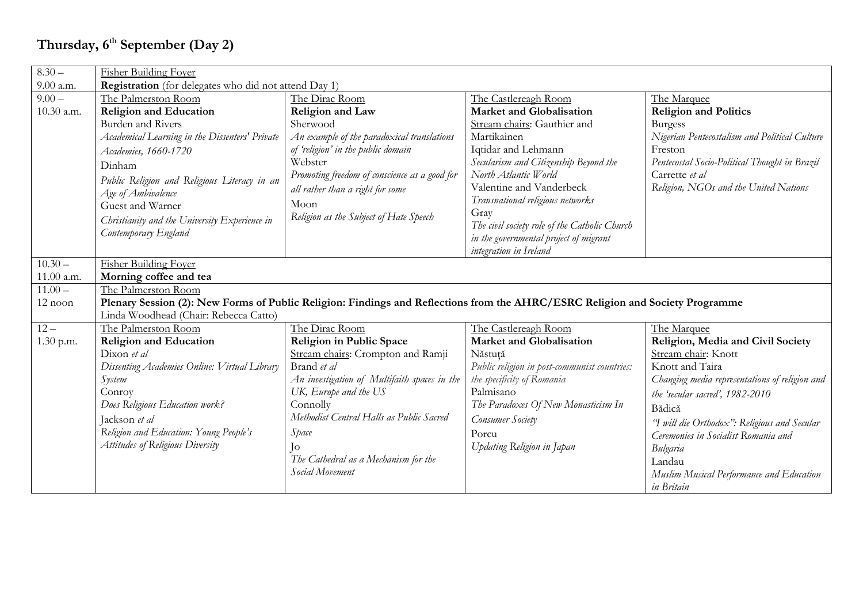# **Thursday, 6 th September (Day 2)**

| $8.30 -$   | <b>Fisher Building Foyer</b>                                                                                                  |                                               |                                               |                                                |
|------------|-------------------------------------------------------------------------------------------------------------------------------|-----------------------------------------------|-----------------------------------------------|------------------------------------------------|
| 9.00 a.m.  | <b>Registration</b> (for delegates who did not attend Day 1)                                                                  |                                               |                                               |                                                |
| $9.00 -$   | The Palmerston Room                                                                                                           | The Dirac Room                                | The Castlereagh Room                          | The Marquee                                    |
| 10.30 a.m. | <b>Religion and Education</b>                                                                                                 | Religion and Law                              | Market and Globalisation                      | <b>Religion and Politics</b>                   |
|            | Burden and Rivers                                                                                                             | Sherwood                                      | Stream chairs: Gauthier and                   | <b>Burgess</b>                                 |
|            | Academical Learning in the Dissenters' Private                                                                                | An example of the paradoxical translations    | Martikainen                                   | Nigerian Pentecostalism and Political Culture  |
|            | Academies, 1660-1720                                                                                                          | of 'religion' in the public domain            | Iqtidar and Lehmann                           | Freston                                        |
|            | Dinham                                                                                                                        | Webster                                       | Secularism and Citizenship Beyond the         | Pentecostal Socio-Political Thought in Brazil  |
|            | Public Religion and Religious Literacy in an                                                                                  | Promoting freedom of conscience as a good for | North Atlantic World                          | Carrette et al                                 |
|            | Age of Ambivalence                                                                                                            | all rather than a right for some              | Valentine and Vanderbeck                      | Religion, NGOs and the United Nations          |
|            | Guest and Warner                                                                                                              | Moon                                          | Transnational religious networks              |                                                |
|            | Christianity and the University Experience in                                                                                 | Religion as the Subject of Hate Speech        | Gray                                          |                                                |
|            | Contemporary England                                                                                                          |                                               | The civil society role of the Catholic Church |                                                |
|            |                                                                                                                               |                                               | in the governmental project of migrant        |                                                |
|            |                                                                                                                               |                                               | integration in Ireland                        |                                                |
| $10.30 -$  | <b>Fisher Building Foyer</b>                                                                                                  |                                               |                                               |                                                |
| 11.00 a.m. | Morning coffee and tea                                                                                                        |                                               |                                               |                                                |
| $11.00 -$  | The Palmerston Room                                                                                                           |                                               |                                               |                                                |
| 12 noon    | Plenary Session (2): New Forms of Public Religion: Findings and Reflections from the AHRC/ESRC Religion and Society Programme |                                               |                                               |                                                |
|            | Linda Woodhead (Chair: Rebecca Catto)                                                                                         |                                               |                                               |                                                |
| $12 -$     | The Palmerston Room                                                                                                           | The Dirac Room                                | The Castlereagh Room                          | The Marquee                                    |
| 1.30 p.m.  | <b>Religion and Education</b>                                                                                                 | Religion in Public Space                      | <b>Market and Globalisation</b>               | Religion, Media and Civil Society              |
|            | Dixon et al                                                                                                                   | Stream chairs: Crompton and Ramji             | Năstuță                                       | Stream chair: Knott                            |
|            | Dissenting Academies Online: Virtual Library                                                                                  | Brand et al                                   | Public religion in post-communist countries:  | Knott and Taira                                |
|            | System                                                                                                                        | An investigation of Multifaith spaces in the  | the specificity of Romania                    | Changing media representations of religion and |
|            | Conroy                                                                                                                        | UK, Europe and the US                         | Palmisano                                     | the 'secular sacred', 1982-2010                |
|            | Does Religious Education work?                                                                                                | Connolly                                      | The Paradoxes Of New Monasticism In           | Bădică                                         |
|            | Jackson et al                                                                                                                 | Methodist Central Halls as Public Sacred      | Consumer Society                              | 'T will die Orthodox": Religious and Secular   |
|            | Religion and Education: Young People's                                                                                        | Space                                         | Porcu                                         | Ceremonies in Socialist Romania and            |
|            | <b>Attitudes of Religious Diversity</b>                                                                                       | Iо                                            | Updating Religion in Japan                    | Bulgaria                                       |
|            |                                                                                                                               | The Cathedral as a Mechanism for the          |                                               | Landau                                         |
|            |                                                                                                                               | <b>Social Movement</b>                        |                                               | Muslim Musical Performance and Education       |
|            |                                                                                                                               |                                               |                                               | in Britain                                     |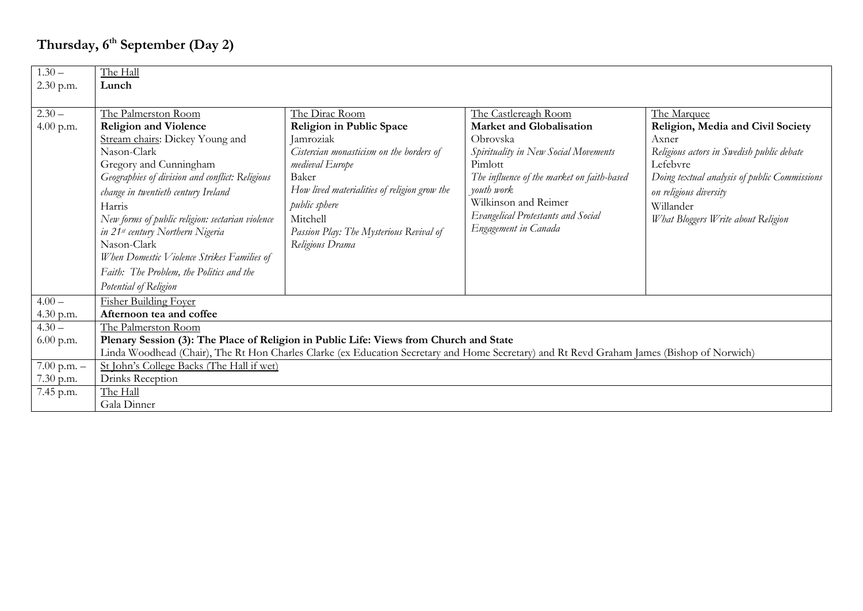# **Thursday, 6th September (Day 2)**

| $1.30 -$        | The Hall                                                                                                                                   |                                              |                                            |                                              |
|-----------------|--------------------------------------------------------------------------------------------------------------------------------------------|----------------------------------------------|--------------------------------------------|----------------------------------------------|
| 2.30 p.m.       | Lunch                                                                                                                                      |                                              |                                            |                                              |
|                 |                                                                                                                                            |                                              |                                            |                                              |
| $2.30 -$        | The Palmerston Room                                                                                                                        | The Dirac Room                               | The Castlereagh Room                       | The Marquee                                  |
| 4.00 p.m.       | <b>Religion and Violence</b>                                                                                                               | Religion in Public Space                     | <b>Market and Globalisation</b>            | Religion, Media and Civil Society            |
|                 | Stream chairs: Dickey Young and                                                                                                            | Jamroziak                                    | Obrovska                                   | Axner                                        |
|                 | Nason-Clark                                                                                                                                | Cistercian monasticism on the borders of     | Spirituality in New Social Movements       | Religious actors in Swedish public debate    |
|                 | Gregory and Cunningham                                                                                                                     | medieval Europe                              | Pimlott                                    | Lefebvre                                     |
|                 | Geographies of division and conflict: Religious                                                                                            | Baker                                        | The influence of the market on faith-based | Doing textual analysis of public Commissions |
|                 | change in twentieth century Ireland                                                                                                        | How lived materialities of religion grow the | youth work                                 | on religious diversity                       |
|                 | Harris                                                                                                                                     | public sphere                                | Wilkinson and Reimer                       | Willander                                    |
|                 | New forms of public religion: sectarian violence                                                                                           | Mitchell                                     | Evangelical Protestants and Social         | What Bloggers Write about Religion           |
|                 | in 21st century Northern Nigeria                                                                                                           | Passion Play: The Mysterious Revival of      | Engagement in Canada                       |                                              |
|                 | Nason-Clark                                                                                                                                | Religious Drama                              |                                            |                                              |
|                 | When Domestic Violence Strikes Families of                                                                                                 |                                              |                                            |                                              |
|                 | Faith: The Problem, the Politics and the                                                                                                   |                                              |                                            |                                              |
|                 | Potential of Religion                                                                                                                      |                                              |                                            |                                              |
| $4.00 -$        | <b>Fisher Building Foyer</b>                                                                                                               |                                              |                                            |                                              |
| 4.30 p.m.       | Afternoon tea and coffee                                                                                                                   |                                              |                                            |                                              |
| $4.30 -$        | The Palmerston Room                                                                                                                        |                                              |                                            |                                              |
| $6.00$ p.m.     | Plenary Session (3): The Place of Religion in Public Life: Views from Church and State                                                     |                                              |                                            |                                              |
|                 | Linda Woodhead (Chair), The Rt Hon Charles Clarke (ex Education Secretary and Home Secretary) and Rt Revd Graham James (Bishop of Norwich) |                                              |                                            |                                              |
| $7.00$ p.m. $-$ | St John's College Backs (The Hall if wet)                                                                                                  |                                              |                                            |                                              |
| 7.30 p.m.       | Drinks Reception                                                                                                                           |                                              |                                            |                                              |
| 7.45 p.m.       | The Hall                                                                                                                                   |                                              |                                            |                                              |
|                 | Gala Dinner                                                                                                                                |                                              |                                            |                                              |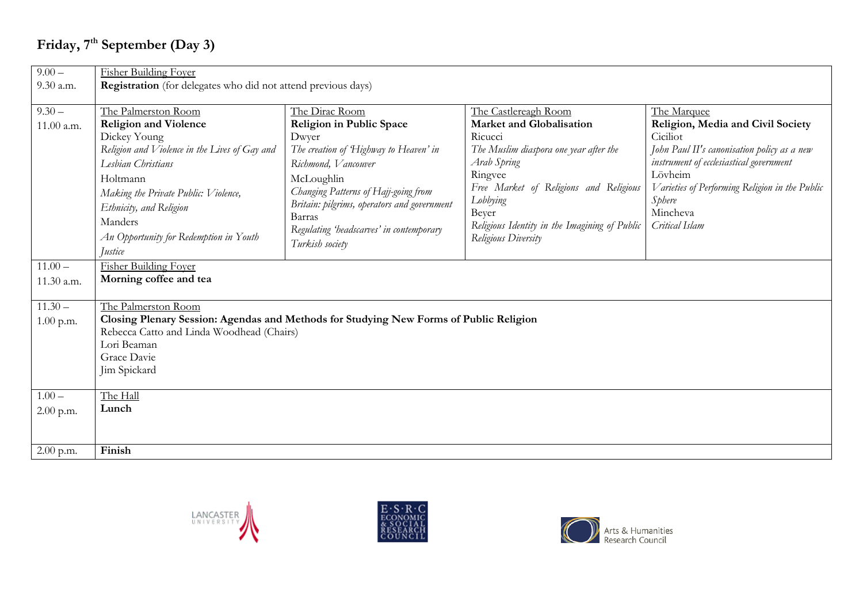# **Friday, 7 th September (Day 3)**

| $9.00 -$                 | <b>Fisher Building Foyer</b>                                                                                                                                                                                                                                                   |                                                                                                                                                                                                                                                                                                   |                                                                                                                                                                                                                                                                               |                                                                                                                                                                                                                                                             |  |
|--------------------------|--------------------------------------------------------------------------------------------------------------------------------------------------------------------------------------------------------------------------------------------------------------------------------|---------------------------------------------------------------------------------------------------------------------------------------------------------------------------------------------------------------------------------------------------------------------------------------------------|-------------------------------------------------------------------------------------------------------------------------------------------------------------------------------------------------------------------------------------------------------------------------------|-------------------------------------------------------------------------------------------------------------------------------------------------------------------------------------------------------------------------------------------------------------|--|
| 9.30 a.m.                | <b>Registration</b> (for delegates who did not attend previous days)                                                                                                                                                                                                           |                                                                                                                                                                                                                                                                                                   |                                                                                                                                                                                                                                                                               |                                                                                                                                                                                                                                                             |  |
| $9.30 -$<br>11.00 a.m.   | The Palmerston Room<br><b>Religion and Violence</b><br>Dickey Young<br>Religion and Violence in the Lives of Gay and<br>Lesbian Christians<br>Holtmann<br>Making the Private Public: Violence,<br>Ethnicity, and Religion<br>Manders<br>An Opportunity for Redemption in Youth | The Dirac Room<br>Religion in Public Space<br>Dwyer<br>The creation of Highway to Heaven' in<br>Richmond, Vancouver<br>McLoughlin<br>Changing Patterns of Hajj-going from<br>Britain: pilgrims, operators and government<br>Barras<br>Regulating 'headscarves' in contemporary<br>Turkish society | The Castlereagh Room<br><b>Market and Globalisation</b><br>Ricucci<br>The Muslim diaspora one year after the<br>Arab Spring<br>Ringvee<br>Free Market of Religions and Religious<br>Lobbying<br>Beyer<br>Religious Identity in the Imagining of Public<br>Religious Diversity | The Marquee<br>Religion, Media and Civil Society<br>Ciciliot<br>John Paul II's canonisation policy as a new<br>instrument of ecclesiastical government<br>Lövheim<br>Varieties of Performing Religion in the Public<br>Sphere<br>Mincheva<br>Critical Islam |  |
| $11.00 -$                | <i><u>Iustice</u></i><br><b>Fisher Building Foyer</b>                                                                                                                                                                                                                          |                                                                                                                                                                                                                                                                                                   |                                                                                                                                                                                                                                                                               |                                                                                                                                                                                                                                                             |  |
| 11.30 a.m.               | Morning coffee and tea                                                                                                                                                                                                                                                         |                                                                                                                                                                                                                                                                                                   |                                                                                                                                                                                                                                                                               |                                                                                                                                                                                                                                                             |  |
| $11.30 -$<br>$1.00$ p.m. | The Palmerston Room<br>Closing Plenary Session: Agendas and Methods for Studying New Forms of Public Religion<br>Rebecca Catto and Linda Woodhead (Chairs)<br>Lori Beaman<br>Grace Davie<br>Jim Spickard                                                                       |                                                                                                                                                                                                                                                                                                   |                                                                                                                                                                                                                                                                               |                                                                                                                                                                                                                                                             |  |
| $1.00 -$<br>2.00 p.m.    | The Hall<br>Lunch                                                                                                                                                                                                                                                              |                                                                                                                                                                                                                                                                                                   |                                                                                                                                                                                                                                                                               |                                                                                                                                                                                                                                                             |  |
| $2.00$ p.m.              | Finish                                                                                                                                                                                                                                                                         |                                                                                                                                                                                                                                                                                                   |                                                                                                                                                                                                                                                                               |                                                                                                                                                                                                                                                             |  |





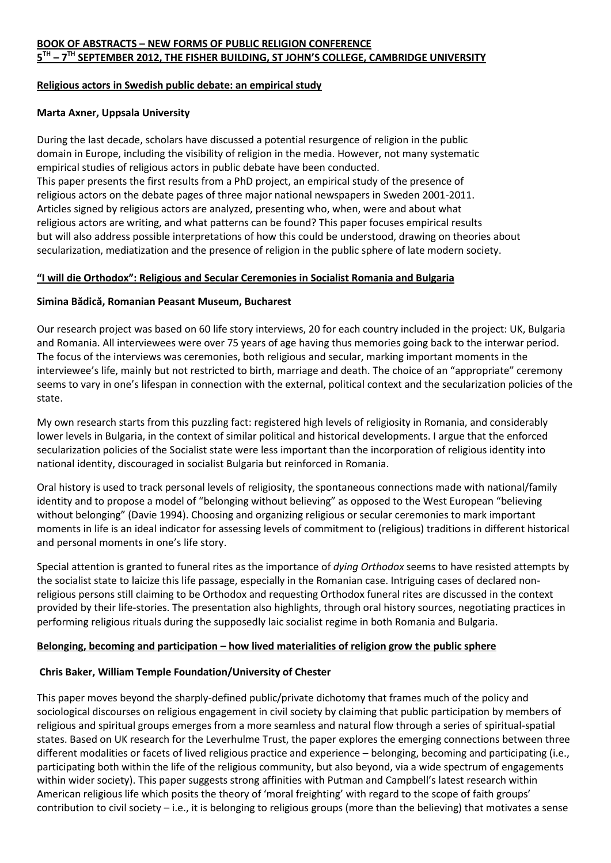### **Religious actors in Swedish public debate: an empirical study**

#### **Marta Axner, Uppsala University**

During the last decade, scholars have discussed a potential resurgence of religion in the public domain in Europe, including the visibility of religion in the media. However, not many systematic empirical studies of religious actors in public debate have been conducted. This paper presents the first results from a PhD project, an empirical study of the presence of religious actors on the debate pages of three major national newspapers in Sweden 2001-2011. Articles signed by religious actors are analyzed, presenting who, when, were and about what religious actors are writing, and what patterns can be found? This paper focuses empirical results but will also address possible interpretations of how this could be understood, drawing on theories about secularization, mediatization and the presence of religion in the public sphere of late modern society.

#### **"I will die Orthodox": Religious and Secular Ceremonies in Socialist Romania and Bulgaria**

#### **Simina Bădică, Romanian Peasant Museum, Bucharest**

Our research project was based on 60 life story interviews, 20 for each country included in the project: UK, Bulgaria and Romania. All interviewees were over 75 years of age having thus memories going back to the interwar period. The focus of the interviews was ceremonies, both religious and secular, marking important moments in the interviewee's life, mainly but not restricted to birth, marriage and death. The choice of an "appropriate" ceremony seems to vary in one's lifespan in connection with the external, political context and the secularization policies of the state.

My own research starts from this puzzling fact: registered high levels of religiosity in Romania, and considerably lower levels in Bulgaria, in the context of similar political and historical developments. I argue that the enforced secularization policies of the Socialist state were less important than the incorporation of religious identity into national identity, discouraged in socialist Bulgaria but reinforced in Romania.

Oral history is used to track personal levels of religiosity, the spontaneous connections made with national/family identity and to propose a model of "belonging without believing" as opposed to the West European "believing without belonging" (Davie 1994). Choosing and organizing religious or secular ceremonies to mark important moments in life is an ideal indicator for assessing levels of commitment to (religious) traditions in different historical and personal moments in one's life story.

Special attention is granted to funeral rites as the importance of *dying Orthodox* seems to have resisted attempts by the socialist state to laicize this life passage, especially in the Romanian case. Intriguing cases of declared nonreligious persons still claiming to be Orthodox and requesting Orthodox funeral rites are discussed in the context provided by their life-stories. The presentation also highlights, through oral history sources, negotiating practices in performing religious rituals during the supposedly laic socialist regime in both Romania and Bulgaria.

### **Belonging, becoming and participation – how lived materialities of religion grow the public sphere**

### **Chris Baker, William Temple Foundation/University of Chester**

This paper moves beyond the sharply-defined public/private dichotomy that frames much of the policy and sociological discourses on religious engagement in civil society by claiming that public participation by members of religious and spiritual groups emerges from a more seamless and natural flow through a series of spiritual-spatial states. Based on UK research for the Leverhulme Trust, the paper explores the emerging connections between three different modalities or facets of lived religious practice and experience – belonging, becoming and participating (i.e., participating both within the life of the religious community, but also beyond, via a wide spectrum of engagements within wider society). This paper suggests strong affinities with Putman and Campbell's latest research within American religious life which posits the theory of 'moral freighting' with regard to the scope of faith groups' contribution to civil society – i.e., it is belonging to religious groups (more than the believing) that motivates a sense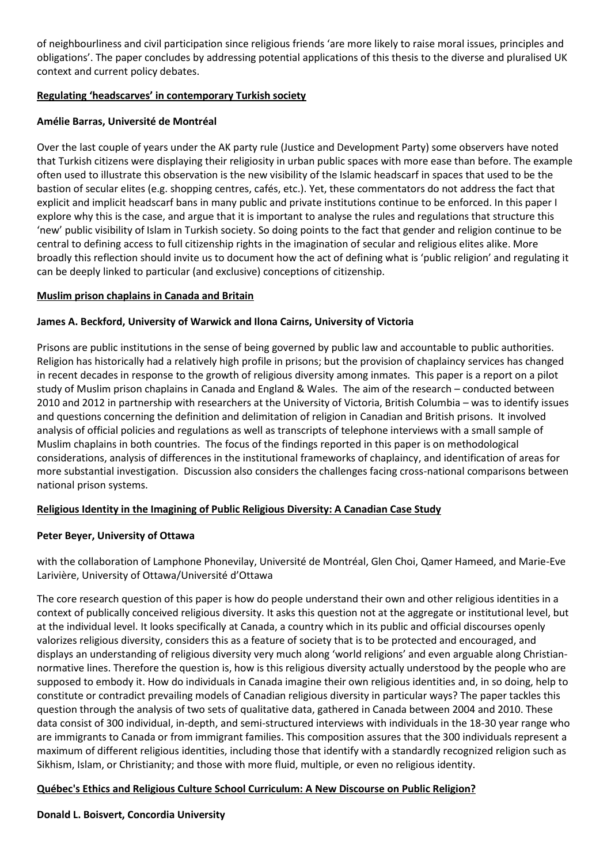of neighbourliness and civil participation since religious friends 'are more likely to raise moral issues, principles and obligations'. The paper concludes by addressing potential applications of this thesis to the diverse and pluralised UK context and current policy debates.

### **Regulating 'headscarves' in contemporary Turkish society**

### **Amélie Barras, Université de Montréal**

Over the last couple of years under the AK party rule (Justice and Development Party) some observers have noted that Turkish citizens were displaying their religiosity in urban public spaces with more ease than before. The example often used to illustrate this observation is the new visibility of the Islamic headscarf in spaces that used to be the bastion of secular elites (e.g. shopping centres, cafés, etc.). Yet, these commentators do not address the fact that explicit and implicit headscarf bans in many public and private institutions continue to be enforced. In this paper I explore why this is the case, and argue that it is important to analyse the rules and regulations that structure this 'new' public visibility of Islam in Turkish society. So doing points to the fact that gender and religion continue to be central to defining access to full citizenship rights in the imagination of secular and religious elites alike. More broadly this reflection should invite us to document how the act of defining what is 'public religion' and regulating it can be deeply linked to particular (and exclusive) conceptions of citizenship.

### **Muslim prison chaplains in Canada and Britain**

### **James A. Beckford, University of Warwick and Ilona Cairns, University of Victoria**

Prisons are public institutions in the sense of being governed by public law and accountable to public authorities. Religion has historically had a relatively high profile in prisons; but the provision of chaplaincy services has changed in recent decades in response to the growth of religious diversity among inmates. This paper is a report on a pilot study of Muslim prison chaplains in Canada and England & Wales. The aim of the research – conducted between 2010 and 2012 in partnership with researchers at the University of Victoria, British Columbia – was to identify issues and questions concerning the definition and delimitation of religion in Canadian and British prisons. It involved analysis of official policies and regulations as well as transcripts of telephone interviews with a small sample of Muslim chaplains in both countries. The focus of the findings reported in this paper is on methodological considerations, analysis of differences in the institutional frameworks of chaplaincy, and identification of areas for more substantial investigation. Discussion also considers the challenges facing cross-national comparisons between national prison systems.

### **Religious Identity in the Imagining of Public Religious Diversity: A Canadian Case Study**

### **Peter Beyer, University of Ottawa**

with the collaboration of Lamphone Phonevilay, Université de Montréal, Glen Choi, Qamer Hameed, and Marie-Eve Larivière, University of Ottawa/Université d'Ottawa

The core research question of this paper is how do people understand their own and other religious identities in a context of publically conceived religious diversity. It asks this question not at the aggregate or institutional level, but at the individual level. It looks specifically at Canada, a country which in its public and official discourses openly valorizes religious diversity, considers this as a feature of society that is to be protected and encouraged, and displays an understanding of religious diversity very much along 'world religions' and even arguable along Christiannormative lines. Therefore the question is, how is this religious diversity actually understood by the people who are supposed to embody it. How do individuals in Canada imagine their own religious identities and, in so doing, help to constitute or contradict prevailing models of Canadian religious diversity in particular ways? The paper tackles this question through the analysis of two sets of qualitative data, gathered in Canada between 2004 and 2010. These data consist of 300 individual, in-depth, and semi-structured interviews with individuals in the 18-30 year range who are immigrants to Canada or from immigrant families. This composition assures that the 300 individuals represent a maximum of different religious identities, including those that identify with a standardly recognized religion such as Sikhism, Islam, or Christianity; and those with more fluid, multiple, or even no religious identity.

### **Québec's Ethics and Religious Culture School Curriculum: A New Discourse on Public Religion?**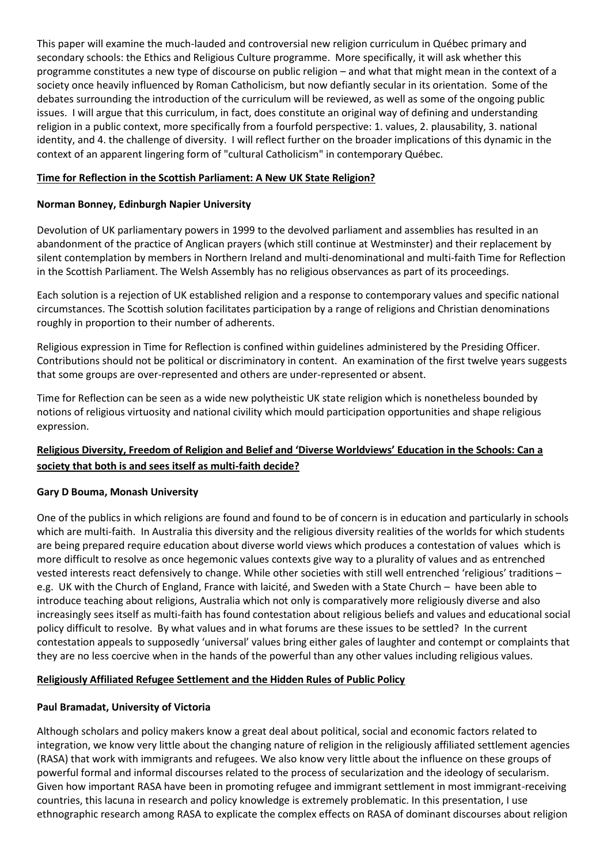This paper will examine the much-lauded and controversial new religion curriculum in Québec primary and secondary schools: the Ethics and Religious Culture programme. More specifically, it will ask whether this programme constitutes a new type of discourse on public religion – and what that might mean in the context of a society once heavily influenced by Roman Catholicism, but now defiantly secular in its orientation. Some of the debates surrounding the introduction of the curriculum will be reviewed, as well as some of the ongoing public issues. I will argue that this curriculum, in fact, does constitute an original way of defining and understanding religion in a public context, more specifically from a fourfold perspective: 1. values, 2. plausability, 3. national identity, and 4. the challenge of diversity. I will reflect further on the broader implications of this dynamic in the context of an apparent lingering form of "cultural Catholicism" in contemporary Québec.

### **Time for Reflection in the Scottish Parliament: A New UK State Religion?**

### **Norman Bonney, Edinburgh Napier University**

Devolution of UK parliamentary powers in 1999 to the devolved parliament and assemblies has resulted in an abandonment of the practice of Anglican prayers (which still continue at Westminster) and their replacement by silent contemplation by members in Northern Ireland and multi-denominational and multi-faith Time for Reflection in the Scottish Parliament. The Welsh Assembly has no religious observances as part of its proceedings.

Each solution is a rejection of UK established religion and a response to contemporary values and specific national circumstances. The Scottish solution facilitates participation by a range of religions and Christian denominations roughly in proportion to their number of adherents.

Religious expression in Time for Reflection is confined within guidelines administered by the Presiding Officer. Contributions should not be political or discriminatory in content. An examination of the first twelve years suggests that some groups are over-represented and others are under-represented or absent.

Time for Reflection can be seen as a wide new polytheistic UK state religion which is nonetheless bounded by notions of religious virtuosity and national civility which mould participation opportunities and shape religious expression.

### **Religious Diversity, Freedom of Religion and Belief and 'Diverse Worldviews' Education in the Schools: Can a society that both is and sees itself as multi-faith decide?**

### **Gary D Bouma, Monash University**

One of the publics in which religions are found and found to be of concern is in education and particularly in schools which are multi-faith. In Australia this diversity and the religious diversity realities of the worlds for which students are being prepared require education about diverse world views which produces a contestation of values which is more difficult to resolve as once hegemonic values contexts give way to a plurality of values and as entrenched vested interests react defensively to change. While other societies with still well entrenched 'religious' traditions – e.g. UK with the Church of England, France with laicité, and Sweden with a State Church – have been able to introduce teaching about religions, Australia which not only is comparatively more religiously diverse and also increasingly sees itself as multi-faith has found contestation about religious beliefs and values and educational social policy difficult to resolve. By what values and in what forums are these issues to be settled? In the current contestation appeals to supposedly 'universal' values bring either gales of laughter and contempt or complaints that they are no less coercive when in the hands of the powerful than any other values including religious values.

### **Religiously Affiliated Refugee Settlement and the Hidden Rules of Public Policy**

### **Paul Bramadat, University of Victoria**

Although scholars and policy makers know a great deal about political, social and economic factors related to integration, we know very little about the changing nature of religion in the religiously affiliated settlement agencies (RASA) that work with immigrants and refugees. We also know very little about the influence on these groups of powerful formal and informal discourses related to the process of secularization and the ideology of secularism. Given how important RASA have been in promoting refugee and immigrant settlement in most immigrant-receiving countries, this lacuna in research and policy knowledge is extremely problematic. In this presentation, I use ethnographic research among RASA to explicate the complex effects on RASA of dominant discourses about religion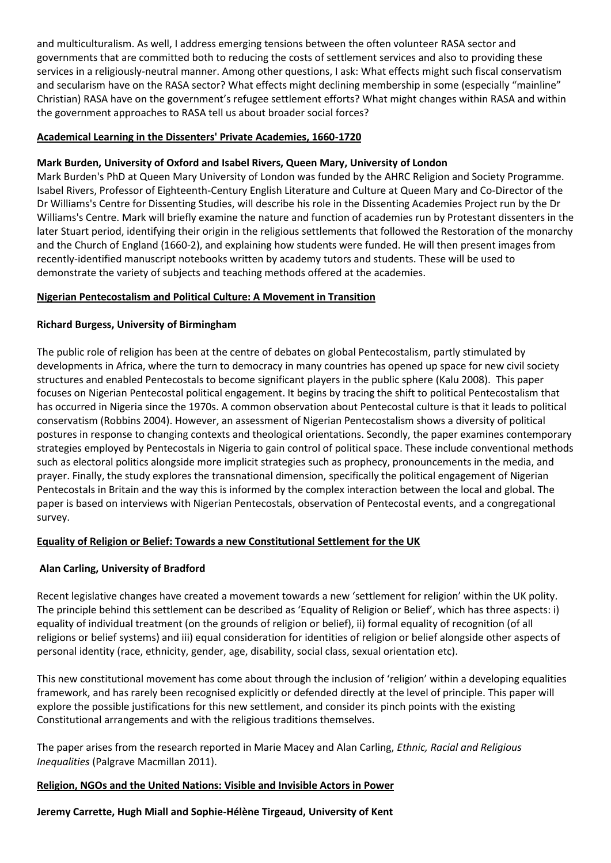and multiculturalism. As well, I address emerging tensions between the often volunteer RASA sector and governments that are committed both to reducing the costs of settlement services and also to providing these services in a religiously-neutral manner. Among other questions, I ask: What effects might such fiscal conservatism and secularism have on the RASA sector? What effects might declining membership in some (especially "mainline" Christian) RASA have on the government's refugee settlement efforts? What might changes within RASA and within the government approaches to RASA tell us about broader social forces?

### **Academical Learning in the Dissenters' Private Academies, 1660-1720**

### **Mark Burden, University of Oxford and Isabel Rivers, Queen Mary, University of London**

Mark Burden's PhD at Queen Mary University of London was funded by the AHRC Religion and Society Programme. Isabel Rivers, Professor of Eighteenth-Century English Literature and Culture at Queen Mary and Co-Director of the Dr Williams's Centre for Dissenting Studies, will describe his role in the Dissenting Academies Project run by the Dr Williams's Centre. Mark will briefly examine the nature and function of academies run by Protestant dissenters in the later Stuart period, identifying their origin in the religious settlements that followed the Restoration of the monarchy and the Church of England (1660-2), and explaining how students were funded. He will then present images from recently-identified manuscript notebooks written by academy tutors and students. These will be used to demonstrate the variety of subjects and teaching methods offered at the academies.

#### **Nigerian Pentecostalism and Political Culture: A Movement in Transition**

#### **Richard Burgess, University of Birmingham**

The public role of religion has been at the centre of debates on global Pentecostalism, partly stimulated by developments in Africa, where the turn to democracy in many countries has opened up space for new civil society structures and enabled Pentecostals to become significant players in the public sphere (Kalu 2008). This paper focuses on Nigerian Pentecostal political engagement. It begins by tracing the shift to political Pentecostalism that has occurred in Nigeria since the 1970s. A common observation about Pentecostal culture is that it leads to political conservatism (Robbins 2004). However, an assessment of Nigerian Pentecostalism shows a diversity of political postures in response to changing contexts and theological orientations. Secondly, the paper examines contemporary strategies employed by Pentecostals in Nigeria to gain control of political space. These include conventional methods such as electoral politics alongside more implicit strategies such as prophecy, pronouncements in the media, and prayer. Finally, the study explores the transnational dimension, specifically the political engagement of Nigerian Pentecostals in Britain and the way this is informed by the complex interaction between the local and global. The paper is based on interviews with Nigerian Pentecostals, observation of Pentecostal events, and a congregational survey.

### **Equality of Religion or Belief: Towards a new Constitutional Settlement for the UK**

### **Alan Carling, University of Bradford**

Recent legislative changes have created a movement towards a new 'settlement for religion' within the UK polity. The principle behind this settlement can be described as 'Equality of Religion or Belief', which has three aspects: i) equality of individual treatment (on the grounds of religion or belief), ii) formal equality of recognition (of all religions or belief systems) and iii) equal consideration for identities of religion or belief alongside other aspects of personal identity (race, ethnicity, gender, age, disability, social class, sexual orientation etc).

This new constitutional movement has come about through the inclusion of 'religion' within a developing equalities framework, and has rarely been recognised explicitly or defended directly at the level of principle. This paper will explore the possible justifications for this new settlement, and consider its pinch points with the existing Constitutional arrangements and with the religious traditions themselves.

The paper arises from the research reported in Marie Macey and Alan Carling, *Ethnic, Racial and Religious Inequalities* (Palgrave Macmillan 2011).

### **Religion, NGOs and the United Nations: Visible and Invisible Actors in Power**

**Jeremy Carrette, Hugh Miall and Sophie-Hélène Tirgeaud, University of Kent**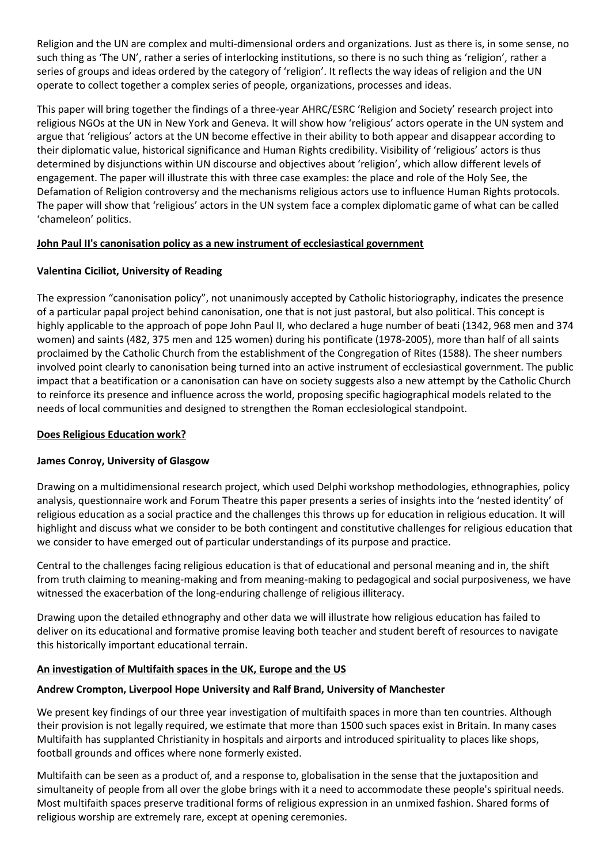Religion and the UN are complex and multi-dimensional orders and organizations. Just as there is, in some sense, no such thing as 'The UN', rather a series of interlocking institutions, so there is no such thing as 'religion', rather a series of groups and ideas ordered by the category of 'religion'. It reflects the way ideas of religion and the UN operate to collect together a complex series of people, organizations, processes and ideas.

This paper will bring together the findings of a three-year AHRC/ESRC 'Religion and Society' research project into religious NGOs at the UN in New York and Geneva. It will show how 'religious' actors operate in the UN system and argue that 'religious' actors at the UN become effective in their ability to both appear and disappear according to their diplomatic value, historical significance and Human Rights credibility. Visibility of 'religious' actors is thus determined by disjunctions within UN discourse and objectives about 'religion', which allow different levels of engagement. The paper will illustrate this with three case examples: the place and role of the Holy See, the Defamation of Religion controversy and the mechanisms religious actors use to influence Human Rights protocols. The paper will show that 'religious' actors in the UN system face a complex diplomatic game of what can be called 'chameleon' politics.

### **John Paul II's canonisation policy as a new instrument of ecclesiastical government**

### **Valentina Ciciliot, University of Reading**

The expression "canonisation policy", not unanimously accepted by Catholic historiography, indicates the presence of a particular papal project behind canonisation, one that is not just pastoral, but also political. This concept is highly applicable to the approach of pope John Paul II, who declared a huge number of beati (1342, 968 men and 374 women) and saints (482, 375 men and 125 women) during his pontificate (1978-2005), more than half of all saints proclaimed by the Catholic Church from the establishment of the Congregation of Rites (1588). The sheer numbers involved point clearly to canonisation being turned into an active instrument of ecclesiastical government. The public impact that a beatification or a canonisation can have on society suggests also a new attempt by the Catholic Church to reinforce its presence and influence across the world, proposing specific hagiographical models related to the needs of local communities and designed to strengthen the Roman ecclesiological standpoint.

### **Does Religious Education work?**

### **James Conroy, University of Glasgow**

Drawing on a multidimensional research project, which used Delphi workshop methodologies, ethnographies, policy analysis, questionnaire work and Forum Theatre this paper presents a series of insights into the 'nested identity' of religious education as a social practice and the challenges this throws up for education in religious education. It will highlight and discuss what we consider to be both contingent and constitutive challenges for religious education that we consider to have emerged out of particular understandings of its purpose and practice.

Central to the challenges facing religious education is that of educational and personal meaning and in, the shift from truth claiming to meaning-making and from meaning-making to pedagogical and social purposiveness, we have witnessed the exacerbation of the long-enduring challenge of religious illiteracy.

Drawing upon the detailed ethnography and other data we will illustrate how religious education has failed to deliver on its educational and formative promise leaving both teacher and student bereft of resources to navigate this historically important educational terrain.

### **An investigation of Multifaith spaces in the UK, Europe and the US**

### **Andrew Crompton, Liverpool Hope University and Ralf Brand, University of Manchester**

We present key findings of our three year investigation of multifaith spaces in more than ten countries. Although their provision is not legally required, we estimate that more than 1500 such spaces exist in Britain. In many cases Multifaith has supplanted Christianity in hospitals and airports and introduced spirituality to places like shops, football grounds and offices where none formerly existed.

Multifaith can be seen as a product of, and a response to, globalisation in the sense that the juxtaposition and simultaneity of people from all over the globe brings with it a need to accommodate these people's spiritual needs. Most multifaith spaces preserve traditional forms of religious expression in an unmixed fashion. Shared forms of religious worship are extremely rare, except at opening ceremonies.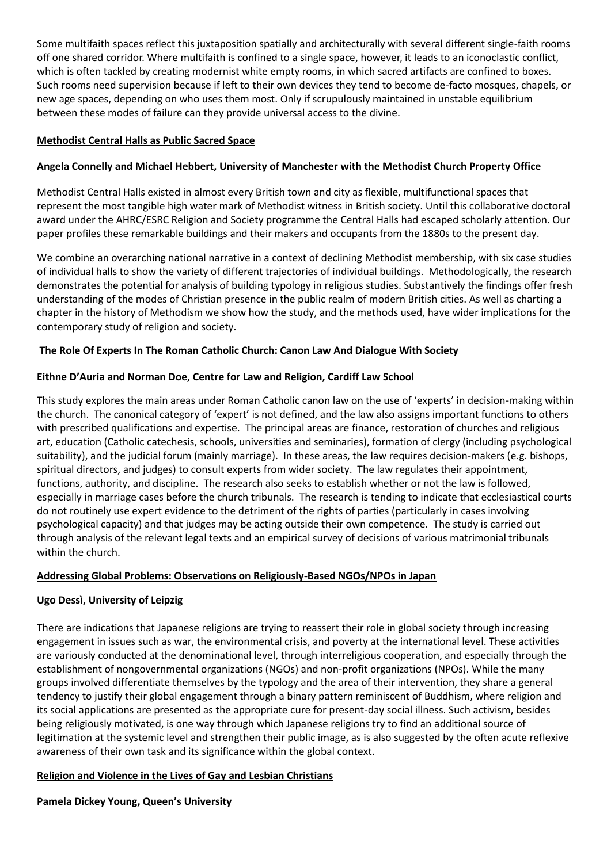Some multifaith spaces reflect this juxtaposition spatially and architecturally with several different single-faith rooms off one shared corridor. Where multifaith is confined to a single space, however, it leads to an iconoclastic conflict, which is often tackled by creating modernist white empty rooms, in which sacred artifacts are confined to boxes. Such rooms need supervision because if left to their own devices they tend to become de-facto mosques, chapels, or new age spaces, depending on who uses them most. Only if scrupulously maintained in unstable equilibrium between these modes of failure can they provide universal access to the divine.

### **Methodist Central Halls as Public Sacred Space**

### **Angela Connelly and Michael Hebbert, University of Manchester with the Methodist Church Property Office**

Methodist Central Halls existed in almost every British town and city as flexible, multifunctional spaces that represent the most tangible high water mark of Methodist witness in British society. Until this collaborative doctoral award under the AHRC/ESRC Religion and Society programme the Central Halls had escaped scholarly attention. Our paper profiles these remarkable buildings and their makers and occupants from the 1880s to the present day.

We combine an overarching national narrative in a context of declining Methodist membership, with six case studies of individual halls to show the variety of different trajectories of individual buildings. Methodologically, the research demonstrates the potential for analysis of building typology in religious studies. Substantively the findings offer fresh understanding of the modes of Christian presence in the public realm of modern British cities. As well as charting a chapter in the history of Methodism we show how the study, and the methods used, have wider implications for the contemporary study of religion and society.

#### **The Role Of Experts In The Roman Catholic Church: Canon Law And Dialogue With Society**

#### **Eithne D'Auria and Norman Doe, Centre for Law and Religion, Cardiff Law School**

This study explores the main areas under Roman Catholic canon law on the use of 'experts' in decision-making within the church. The canonical category of 'expert' is not defined, and the law also assigns important functions to others with prescribed qualifications and expertise. The principal areas are finance, restoration of churches and religious art, education (Catholic catechesis, schools, universities and seminaries), formation of clergy (including psychological suitability), and the judicial forum (mainly marriage). In these areas, the law requires decision-makers (e.g. bishops, spiritual directors, and judges) to consult experts from wider society. The law regulates their appointment, functions, authority, and discipline. The research also seeks to establish whether or not the law is followed, especially in marriage cases before the church tribunals. The research is tending to indicate that ecclesiastical courts do not routinely use expert evidence to the detriment of the rights of parties (particularly in cases involving psychological capacity) and that judges may be acting outside their own competence. The study is carried out through analysis of the relevant legal texts and an empirical survey of decisions of various matrimonial tribunals within the church.

#### **Addressing Global Problems: Observations on Religiously-Based NGOs/NPOs in Japan**

### **Ugo Dessì, University of Leipzig**

There are indications that Japanese religions are trying to reassert their role in global society through increasing engagement in issues such as war, the environmental crisis, and poverty at the international level. These activities are variously conducted at the denominational level, through interreligious cooperation, and especially through the establishment of nongovernmental organizations (NGOs) and non-profit organizations (NPOs). While the many groups involved differentiate themselves by the typology and the area of their intervention, they share a general tendency to justify their global engagement through a binary pattern reminiscent of Buddhism, where religion and its social applications are presented as the appropriate cure for present-day social illness. Such activism, besides being religiously motivated, is one way through which Japanese religions try to find an additional source of legitimation at the systemic level and strengthen their public image, as is also suggested by the often acute reflexive awareness of their own task and its significance within the global context.

#### **Religion and Violence in the Lives of Gay and Lesbian Christians**

#### **Pamela Dickey Young, Queen's University**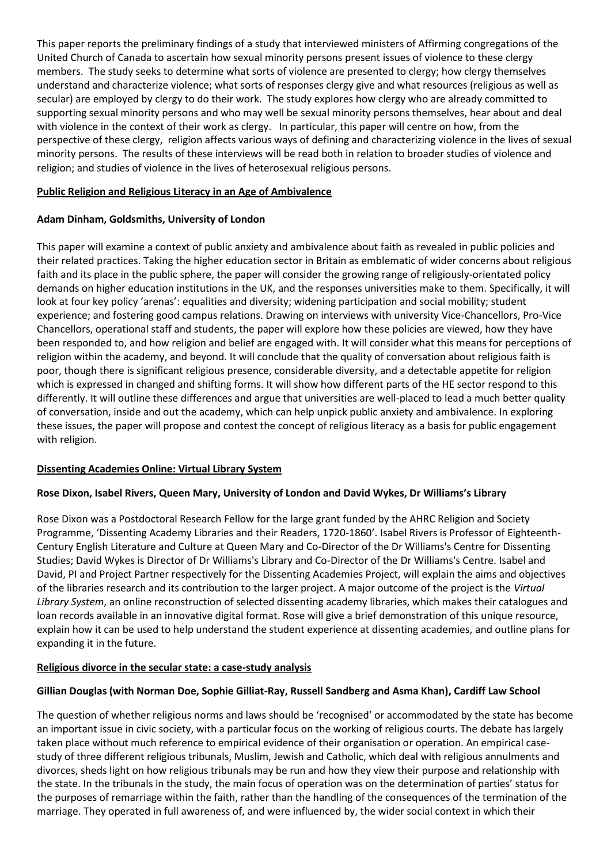This paper reports the preliminary findings of a study that interviewed ministers of Affirming congregations of the United Church of Canada to ascertain how sexual minority persons present issues of violence to these clergy members. The study seeks to determine what sorts of violence are presented to clergy; how clergy themselves understand and characterize violence; what sorts of responses clergy give and what resources (religious as well as secular) are employed by clergy to do their work. The study explores how clergy who are already committed to supporting sexual minority persons and who may well be sexual minority persons themselves, hear about and deal with violence in the context of their work as clergy. In particular, this paper will centre on how, from the perspective of these clergy, religion affects various ways of defining and characterizing violence in the lives of sexual minority persons. The results of these interviews will be read both in relation to broader studies of violence and religion; and studies of violence in the lives of heterosexual religious persons.

### **Public Religion and Religious Literacy in an Age of Ambivalence**

### **Adam Dinham, Goldsmiths, University of London**

This paper will examine a context of public anxiety and ambivalence about faith as revealed in public policies and their related practices. Taking the higher education sector in Britain as emblematic of wider concerns about religious faith and its place in the public sphere, the paper will consider the growing range of religiously-orientated policy demands on higher education institutions in the UK, and the responses universities make to them. Specifically, it will look at four key policy 'arenas': equalities and diversity; widening participation and social mobility; student experience; and fostering good campus relations. Drawing on interviews with university Vice-Chancellors, Pro-Vice Chancellors, operational staff and students, the paper will explore how these policies are viewed, how they have been responded to, and how religion and belief are engaged with. It will consider what this means for perceptions of religion within the academy, and beyond. It will conclude that the quality of conversation about religious faith is poor, though there is significant religious presence, considerable diversity, and a detectable appetite for religion which is expressed in changed and shifting forms. It will show how different parts of the HE sector respond to this differently. It will outline these differences and argue that universities are well-placed to lead a much better quality of conversation, inside and out the academy, which can help unpick public anxiety and ambivalence. In exploring these issues, the paper will propose and contest the concept of religious literacy as a basis for public engagement with religion.

### **Dissenting Academies Online: Virtual Library System**

### **Rose Dixon, Isabel Rivers, Queen Mary, University of London and David Wykes, Dr Williams's Library**

Rose Dixon was a Postdoctoral Research Fellow for the large grant funded by the AHRC Religion and Society Programme, 'Dissenting Academy Libraries and their Readers, 1720-1860'. Isabel Rivers is Professor of Eighteenth-Century English Literature and Culture at Queen Mary and Co-Director of the Dr Williams's Centre for Dissenting Studies; David Wykes is Director of Dr Williams's Library and Co-Director of the Dr Williams's Centre. Isabel and David, PI and Project Partner respectively for the Dissenting Academies Project, will explain the aims and objectives of the libraries research and its contribution to the larger project. A major outcome of the project is the *Virtual Library System*, an online reconstruction of selected dissenting academy libraries, which makes their catalogues and loan records available in an innovative digital format. Rose will give a brief demonstration of this unique resource, explain how it can be used to help understand the student experience at dissenting academies, and outline plans for expanding it in the future.

### **Religious divorce in the secular state: a case-study analysis**

### **Gillian Douglas (with Norman Doe, Sophie Gilliat-Ray, Russell Sandberg and Asma Khan), Cardiff Law School**

The question of whether religious norms and laws should be 'recognised' or accommodated by the state has become an important issue in civic society, with a particular focus on the working of religious courts. The debate has largely taken place without much reference to empirical evidence of their organisation or operation. An empirical casestudy of three different religious tribunals, Muslim, Jewish and Catholic, which deal with religious annulments and divorces, sheds light on how religious tribunals may be run and how they view their purpose and relationship with the state. In the tribunals in the study, the main focus of operation was on the determination of parties' status for the purposes of remarriage within the faith, rather than the handling of the consequences of the termination of the marriage. They operated in full awareness of, and were influenced by, the wider social context in which their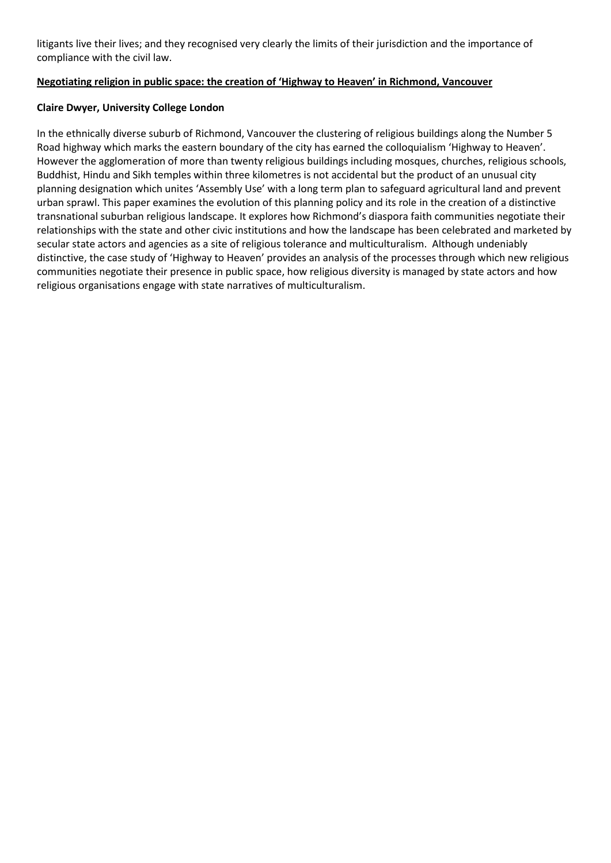litigants live their lives; and they recognised very clearly the limits of their jurisdiction and the importance of compliance with the civil law.

#### **Negotiating religion in public space: the creation of 'Highway to Heaven' in Richmond, Vancouver**

#### **Claire Dwyer, University College London**

In the ethnically diverse suburb of Richmond, Vancouver the clustering of religious buildings along the Number 5 Road highway which marks the eastern boundary of the city has earned the colloquialism 'Highway to Heaven'. However the agglomeration of more than twenty religious buildings including mosques, churches, religious schools, Buddhist, Hindu and Sikh temples within three kilometres is not accidental but the product of an unusual city planning designation which unites 'Assembly Use' with a long term plan to safeguard agricultural land and prevent urban sprawl. This paper examines the evolution of this planning policy and its role in the creation of a distinctive transnational suburban religious landscape. It explores how Richmond's diaspora faith communities negotiate their relationships with the state and other civic institutions and how the landscape has been celebrated and marketed by secular state actors and agencies as a site of religious tolerance and multiculturalism. Although undeniably distinctive, the case study of 'Highway to Heaven' provides an analysis of the processes through which new religious communities negotiate their presence in public space, how religious diversity is managed by state actors and how religious organisations engage with state narratives of multiculturalism.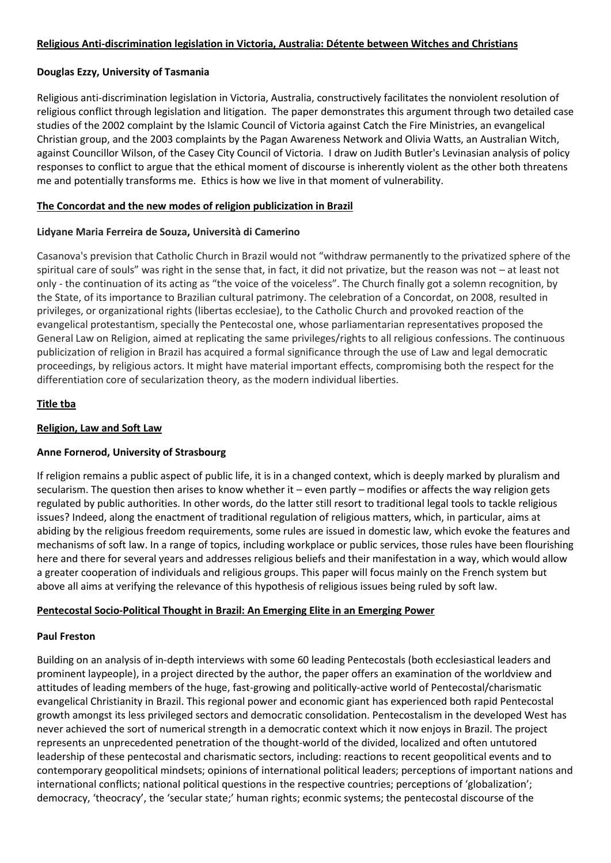#### **Religious Anti-discrimination legislation in Victoria, Australia: Détente between Witches and Christians**

#### **Douglas Ezzy, University of Tasmania**

Religious anti-discrimination legislation in Victoria, Australia, constructively facilitates the nonviolent resolution of religious conflict through legislation and litigation. The paper demonstrates this argument through two detailed case studies of the 2002 complaint by the Islamic Council of Victoria against Catch the Fire Ministries, an evangelical Christian group, and the 2003 complaints by the Pagan Awareness Network and Olivia Watts, an Australian Witch, against Councillor Wilson, of the Casey City Council of Victoria. I draw on Judith Butler's Levinasian analysis of policy responses to conflict to argue that the ethical moment of discourse is inherently violent as the other both threatens me and potentially transforms me. Ethics is how we live in that moment of vulnerability.

#### **The Concordat and the new modes of religion publicization in Brazil**

#### **Lidyane Maria Ferreira de Souza, Università di Camerino**

Casanova's prevision that Catholic Church in Brazil would not "withdraw permanently to the privatized sphere of the spiritual care of souls" was right in the sense that, in fact, it did not privatize, but the reason was not – at least not only - the continuation of its acting as "the voice of the voiceless". The Church finally got a solemn recognition, by the State, of its importance to Brazilian cultural patrimony. The celebration of a Concordat, on 2008, resulted in privileges, or organizational rights (libertas ecclesiae), to the Catholic Church and provoked reaction of the evangelical protestantism, specially the Pentecostal one, whose parliamentarian representatives proposed the General Law on Religion, aimed at replicating the same privileges/rights to all religious confessions. The continuous publicization of religion in Brazil has acquired a formal significance through the use of Law and legal democratic proceedings, by religious actors. It might have material important effects, compromising both the respect for the differentiation core of secularization theory, as the modern individual liberties.

#### **Title tba**

#### **Religion, Law and Soft Law**

### **Anne Fornerod, University of Strasbourg**

If religion remains a public aspect of public life, it is in a changed context, which is deeply marked by pluralism and secularism. The question then arises to know whether it – even partly – modifies or affects the way religion gets regulated by public authorities. In other words, do the latter still resort to traditional legal tools to tackle religious issues? Indeed, along the enactment of traditional regulation of religious matters, which, in particular, aims at abiding by the religious freedom requirements, some rules are issued in domestic law, which evoke the features and mechanisms of soft law. In a range of topics, including workplace or public services, those rules have been flourishing here and there for several years and addresses religious beliefs and their manifestation in a way, which would allow a greater cooperation of individuals and religious groups. This paper will focus mainly on the French system but above all aims at verifying the relevance of this hypothesis of religious issues being ruled by soft law.

#### **Pentecostal Socio-Political Thought in Brazil: An Emerging Elite in an Emerging Power**

#### **Paul Freston**

Building on an analysis of in-depth interviews with some 60 leading Pentecostals (both ecclesiastical leaders and prominent laypeople), in a project directed by the author, the paper offers an examination of the worldview and attitudes of leading members of the huge, fast-growing and politically-active world of Pentecostal/charismatic evangelical Christianity in Brazil. This regional power and economic giant has experienced both rapid Pentecostal growth amongst its less privileged sectors and democratic consolidation. Pentecostalism in the developed West has never achieved the sort of numerical strength in a democratic context which it now enjoys in Brazil. The project represents an unprecedented penetration of the thought-world of the divided, localized and often untutored leadership of these pentecostal and charismatic sectors, including: reactions to recent geopolitical events and to contemporary geopolitical mindsets; opinions of international political leaders; perceptions of important nations and international conflicts; national political questions in the respective countries; perceptions of 'globalization'; democracy, 'theocracy', the 'secular state;' human rights; econmic systems; the pentecostal discourse of the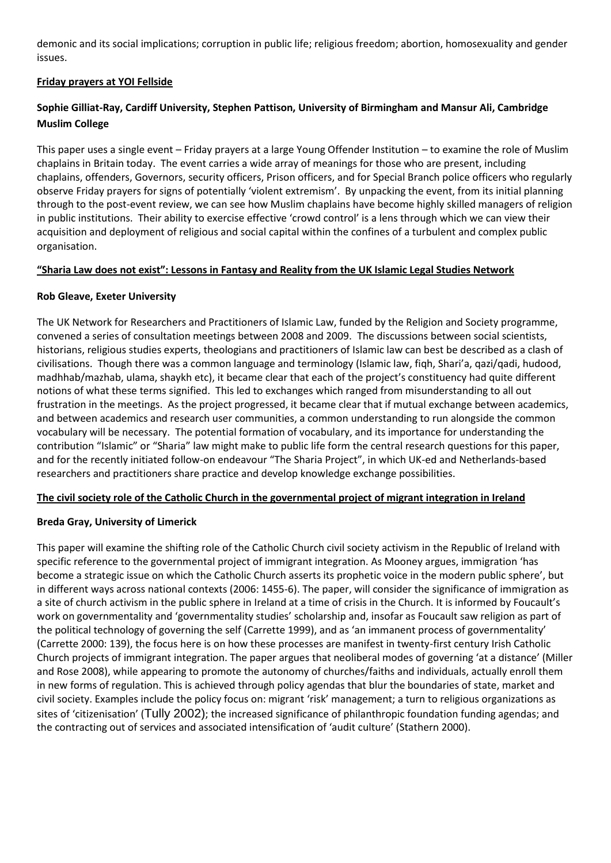demonic and its social implications; corruption in public life; religious freedom; abortion, homosexuality and gender issues.

### **Friday prayers at YOI Fellside**

### **Sophie Gilliat-Ray, Cardiff University, Stephen Pattison, University of Birmingham and Mansur Ali, Cambridge Muslim College**

This paper uses a single event – Friday prayers at a large Young Offender Institution – to examine the role of Muslim chaplains in Britain today. The event carries a wide array of meanings for those who are present, including chaplains, offenders, Governors, security officers, Prison officers, and for Special Branch police officers who regularly observe Friday prayers for signs of potentially 'violent extremism'. By unpacking the event, from its initial planning through to the post-event review, we can see how Muslim chaplains have become highly skilled managers of religion in public institutions. Their ability to exercise effective 'crowd control' is a lens through which we can view their acquisition and deployment of religious and social capital within the confines of a turbulent and complex public organisation.

### **"Sharia Law does not exist": Lessons in Fantasy and Reality from the UK Islamic Legal Studies Network**

### **Rob Gleave, Exeter University**

The UK Network for Researchers and Practitioners of Islamic Law, funded by the Religion and Society programme, convened a series of consultation meetings between 2008 and 2009. The discussions between social scientists, historians, religious studies experts, theologians and practitioners of Islamic law can best be described as a clash of civilisations. Though there was a common language and terminology (Islamic law, fiqh, Shari'a, qazi/qadi, hudood, madhhab/mazhab, ulama, shaykh etc), it became clear that each of the project's constituency had quite different notions of what these terms signified. This led to exchanges which ranged from misunderstanding to all out frustration in the meetings. As the project progressed, it became clear that if mutual exchange between academics, and between academics and research user communities, a common understanding to run alongside the common vocabulary will be necessary. The potential formation of vocabulary, and its importance for understanding the contribution "Islamic" or "Sharia" law might make to public life form the central research questions for this paper, and for the recently initiated follow-on endeavour "The Sharia Project", in which UK-ed and Netherlands-based researchers and practitioners share practice and develop knowledge exchange possibilities.

### **The civil society role of the Catholic Church in the governmental project of migrant integration in Ireland**

### **Breda Gray, University of Limerick**

This paper will examine the shifting role of the Catholic Church civil society activism in the Republic of Ireland with specific reference to the governmental project of immigrant integration. As Mooney argues, immigration 'has become a strategic issue on which the Catholic Church asserts its prophetic voice in the modern public sphere', but in different ways across national contexts (2006: 1455-6). The paper, will consider the significance of immigration as a site of church activism in the public sphere in Ireland at a time of crisis in the Church. It is informed by Foucault's work on governmentality and 'governmentality studies' scholarship and, insofar as Foucault saw religion as part of the political technology of governing the self (Carrette 1999), and as 'an immanent process of governmentality' (Carrette 2000: 139), the focus here is on how these processes are manifest in twenty-first century Irish Catholic Church projects of immigrant integration. The paper argues that neoliberal modes of governing 'at a distance' (Miller and Rose 2008), while appearing to promote the autonomy of churches/faiths and individuals, actually enroll them in new forms of regulation. This is achieved through policy agendas that blur the boundaries of state, market and civil society. Examples include the policy focus on: migrant 'risk' management; a turn to religious organizations as sites of 'citizenisation' (Tully 2002); the increased significance of philanthropic foundation funding agendas; and the contracting out of services and associated intensification of 'audit culture' (Stathern 2000).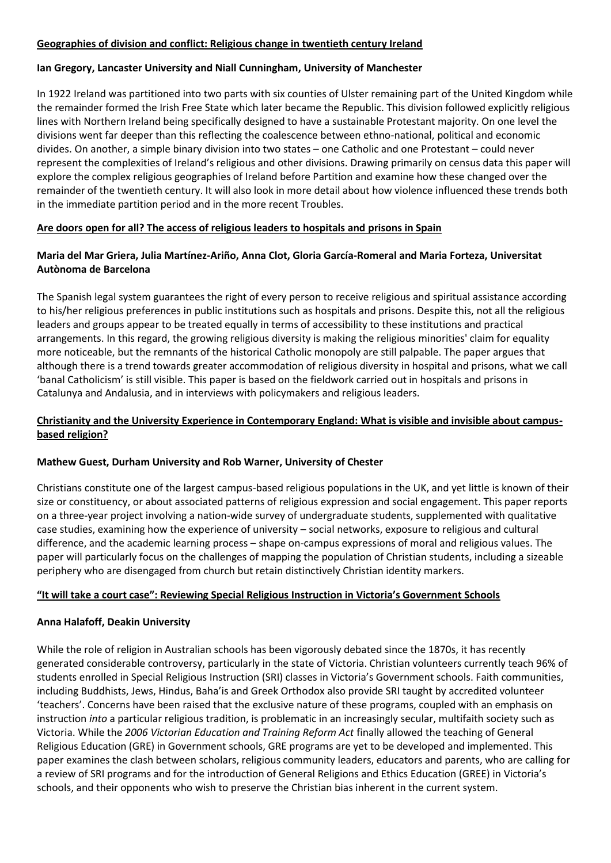#### **Geographies of division and conflict: Religious change in twentieth century Ireland**

#### **Ian Gregory, Lancaster University and Niall Cunningham, University of Manchester**

In 1922 Ireland was partitioned into two parts with six counties of Ulster remaining part of the United Kingdom while the remainder formed the Irish Free State which later became the Republic. This division followed explicitly religious lines with Northern Ireland being specifically designed to have a sustainable Protestant majority. On one level the divisions went far deeper than this reflecting the coalescence between ethno-national, political and economic divides. On another, a simple binary division into two states – one Catholic and one Protestant – could never represent the complexities of Ireland's religious and other divisions. Drawing primarily on census data this paper will explore the complex religious geographies of Ireland before Partition and examine how these changed over the remainder of the twentieth century. It will also look in more detail about how violence influenced these trends both in the immediate partition period and in the more recent Troubles.

#### **Are doors open for all? The access of religious leaders to hospitals and prisons in Spain**

### **Maria del Mar Griera, Julia Martínez-Ariño, Anna Clot, Gloria García-Romeral and Maria Forteza, Universitat Autònoma de Barcelona**

The Spanish legal system guarantees the right of every person to receive religious and spiritual assistance according to his/her religious preferences in public institutions such as hospitals and prisons. Despite this, not all the religious leaders and groups appear to be treated equally in terms of accessibility to these institutions and practical arrangements. In this regard, the growing religious diversity is making the religious minorities' claim for equality more noticeable, but the remnants of the historical Catholic monopoly are still palpable. The paper argues that although there is a trend towards greater accommodation of religious diversity in hospital and prisons, what we call 'banal Catholicism' is still visible. This paper is based on the fieldwork carried out in hospitals and prisons in Catalunya and Andalusia, and in interviews with policymakers and religious leaders.

### **Christianity and the University Experience in Contemporary England: What is visible and invisible about campusbased religion?**

#### **Mathew Guest, Durham University and Rob Warner, University of Chester**

Christians constitute one of the largest campus-based religious populations in the UK, and yet little is known of their size or constituency, or about associated patterns of religious expression and social engagement. This paper reports on a three-year project involving a nation-wide survey of undergraduate students, supplemented with qualitative case studies, examining how the experience of university – social networks, exposure to religious and cultural difference, and the academic learning process – shape on-campus expressions of moral and religious values. The paper will particularly focus on the challenges of mapping the population of Christian students, including a sizeable periphery who are disengaged from church but retain distinctively Christian identity markers.

#### **"It will take a court case": Reviewing Special Religious Instruction in Victoria's Government Schools**

#### **Anna Halafoff, Deakin University**

While the role of religion in Australian schools has been vigorously debated since the 1870s, it has recently generated considerable controversy, particularly in the state of Victoria. Christian volunteers currently teach 96% of students enrolled in Special Religious Instruction (SRI) classes in Victoria's Government schools. Faith communities, including Buddhists, Jews, Hindus, Baha'is and Greek Orthodox also provide SRI taught by accredited volunteer 'teachers'. Concerns have been raised that the exclusive nature of these programs, coupled with an emphasis on instruction *into* a particular religious tradition, is problematic in an increasingly secular, multifaith society such as Victoria. While the *2006 Victorian Education and Training Reform Act* finally allowed the teaching of General Religious Education (GRE) in Government schools, GRE programs are yet to be developed and implemented. This paper examines the clash between scholars, religious community leaders, educators and parents, who are calling for a review of SRI programs and for the introduction of General Religions and Ethics Education (GREE) in Victoria's schools, and their opponents who wish to preserve the Christian bias inherent in the current system.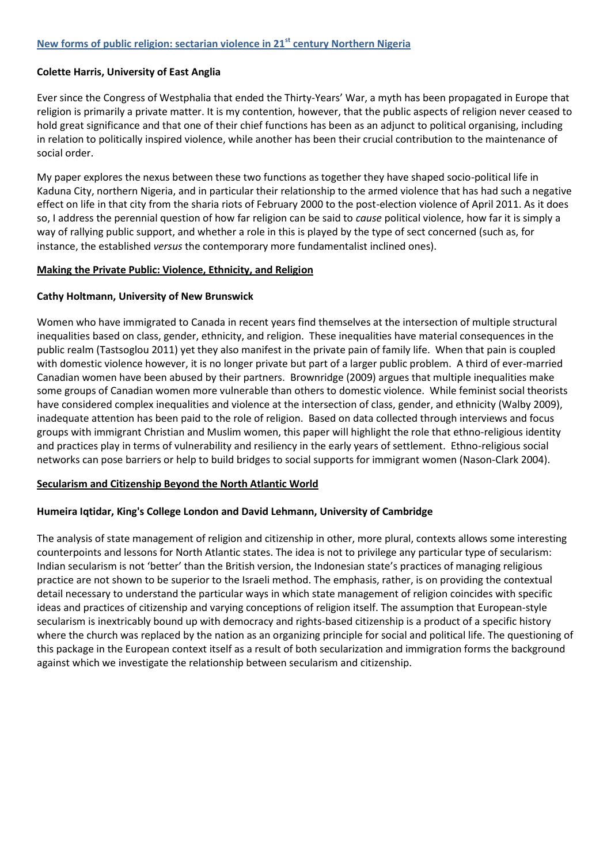#### **Colette Harris, University of East Anglia**

Ever since the Congress of Westphalia that ended the Thirty-Years' War, a myth has been propagated in Europe that religion is primarily a private matter. It is my contention, however, that the public aspects of religion never ceased to hold great significance and that one of their chief functions has been as an adjunct to political organising, including in relation to politically inspired violence, while another has been their crucial contribution to the maintenance of social order.

My paper explores the nexus between these two functions as together they have shaped socio-political life in Kaduna City, northern Nigeria, and in particular their relationship to the armed violence that has had such a negative effect on life in that city from the sharia riots of February 2000 to the post-election violence of April 2011. As it does so, I address the perennial question of how far religion can be said to *cause* political violence, how far it is simply a way of rallying public support, and whether a role in this is played by the type of sect concerned (such as, for instance, the established *versus* the contemporary more fundamentalist inclined ones).

#### **Making the Private Public: Violence, Ethnicity, and Religion**

#### **Cathy Holtmann, University of New Brunswick**

Women who have immigrated to Canada in recent years find themselves at the intersection of multiple structural inequalities based on class, gender, ethnicity, and religion. These inequalities have material consequences in the public realm (Tastsoglou 2011) yet they also manifest in the private pain of family life. When that pain is coupled with domestic violence however, it is no longer private but part of a larger public problem. A third of ever-married Canadian women have been abused by their partners. Brownridge (2009) argues that multiple inequalities make some groups of Canadian women more vulnerable than others to domestic violence. While feminist social theorists have considered complex inequalities and violence at the intersection of class, gender, and ethnicity (Walby 2009), inadequate attention has been paid to the role of religion. Based on data collected through interviews and focus groups with immigrant Christian and Muslim women, this paper will highlight the role that ethno-religious identity and practices play in terms of vulnerability and resiliency in the early years of settlement. Ethno-religious social networks can pose barriers or help to build bridges to social supports for immigrant women (Nason-Clark 2004).

### **Secularism and Citizenship Beyond the North Atlantic World**

### **Humeira Iqtidar, King's College London and David Lehmann, University of Cambridge**

The analysis of state management of religion and citizenship in other, more plural, contexts allows some interesting counterpoints and lessons for North Atlantic states. The idea is not to privilege any particular type of secularism: Indian secularism is not 'better' than the British version, the Indonesian state's practices of managing religious practice are not shown to be superior to the Israeli method. The emphasis, rather, is on providing the contextual detail necessary to understand the particular ways in which state management of religion coincides with specific ideas and practices of citizenship and varying conceptions of religion itself. The assumption that European-style secularism is inextricably bound up with democracy and rights-based citizenship is a product of a specific history where the church was replaced by the nation as an organizing principle for social and political life. The questioning of this package in the European context itself as a result of both secularization and immigration forms the background against which we investigate the relationship between secularism and citizenship.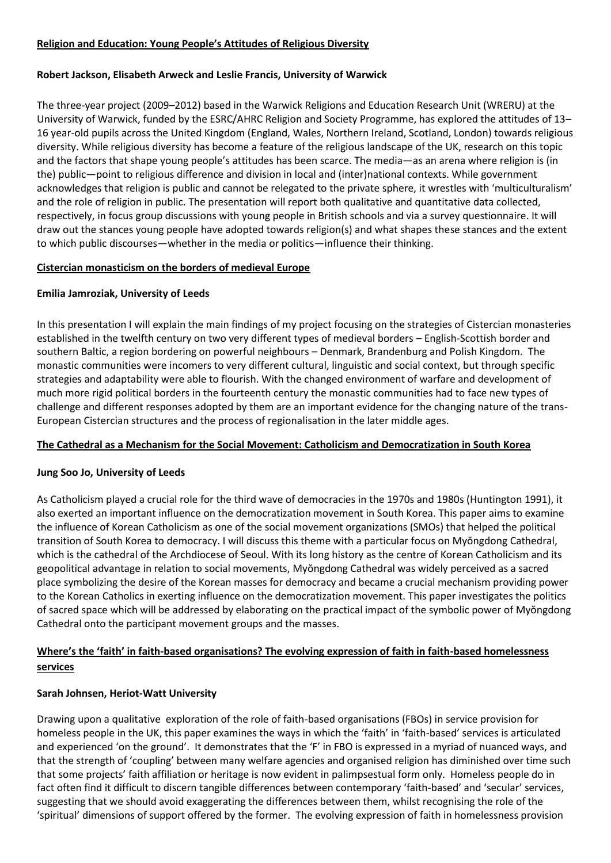### **Religion and Education: Young People's Attitudes of Religious Diversity**

#### **Robert Jackson, Elisabeth Arweck and Leslie Francis, University of Warwick**

The three-year project (2009–2012) based in the Warwick Religions and Education Research Unit (WRERU) at the University of Warwick, funded by the ESRC/AHRC Religion and Society Programme, has explored the attitudes of 13– 16 year-old pupils across the United Kingdom (England, Wales, Northern Ireland, Scotland, London) towards religious diversity. While religious diversity has become a feature of the religious landscape of the UK, research on this topic and the factors that shape young people's attitudes has been scarce. The media—as an arena where religion is (in the) public—point to religious difference and division in local and (inter)national contexts. While government acknowledges that religion is public and cannot be relegated to the private sphere, it wrestles with 'multiculturalism' and the role of religion in public. The presentation will report both qualitative and quantitative data collected, respectively, in focus group discussions with young people in British schools and via a survey questionnaire. It will draw out the stances young people have adopted towards religion(s) and what shapes these stances and the extent to which public discourses—whether in the media or politics—influence their thinking.

#### **Cistercian monasticism on the borders of medieval Europe**

#### **Emilia Jamroziak, University of Leeds**

In this presentation I will explain the main findings of my project focusing on the strategies of Cistercian monasteries established in the twelfth century on two very different types of medieval borders – English-Scottish border and southern Baltic, a region bordering on powerful neighbours – Denmark, Brandenburg and Polish Kingdom. The monastic communities were incomers to very different cultural, linguistic and social context, but through specific strategies and adaptability were able to flourish. With the changed environment of warfare and development of much more rigid political borders in the fourteenth century the monastic communities had to face new types of challenge and different responses adopted by them are an important evidence for the changing nature of the trans-European Cistercian structures and the process of regionalisation in the later middle ages.

### **The Cathedral as a Mechanism for the Social Movement: Catholicism and Democratization in South Korea**

### **Jung Soo Jo, University of Leeds**

As Catholicism played a crucial role for the third wave of democracies in the 1970s and 1980s (Huntington 1991), it also exerted an important influence on the democratization movement in South Korea. This paper aims to examine the influence of Korean Catholicism as one of the social movement organizations (SMOs) that helped the political transition of South Korea to democracy. I will discuss this theme with a particular focus on Myŏngdong Cathedral, which is the cathedral of the Archdiocese of Seoul. With its long history as the centre of Korean Catholicism and its geopolitical advantage in relation to social movements, Myŏngdong Cathedral was widely perceived as a sacred place symbolizing the desire of the Korean masses for democracy and became a crucial mechanism providing power to the Korean Catholics in exerting influence on the democratization movement. This paper investigates the politics of sacred space which will be addressed by elaborating on the practical impact of the symbolic power of Myŏngdong Cathedral onto the participant movement groups and the masses.

### **Where's the 'faith' in faith-based organisations? The evolving expression of faith in faith-based homelessness services**

### **Sarah Johnsen, Heriot-Watt University**

Drawing upon a qualitative exploration of the role of faith-based organisations (FBOs) in service provision for homeless people in the UK, this paper examines the ways in which the 'faith' in 'faith-based' services is articulated and experienced 'on the ground'. It demonstrates that the 'F' in FBO is expressed in a myriad of nuanced ways, and that the strength of 'coupling' between many welfare agencies and organised religion has diminished over time such that some projects' faith affiliation or heritage is now evident in palimpsestual form only. Homeless people do in fact often find it difficult to discern tangible differences between contemporary 'faith-based' and 'secular' services, suggesting that we should avoid exaggerating the differences between them, whilst recognising the role of the 'spiritual' dimensions of support offered by the former. The evolving expression of faith in homelessness provision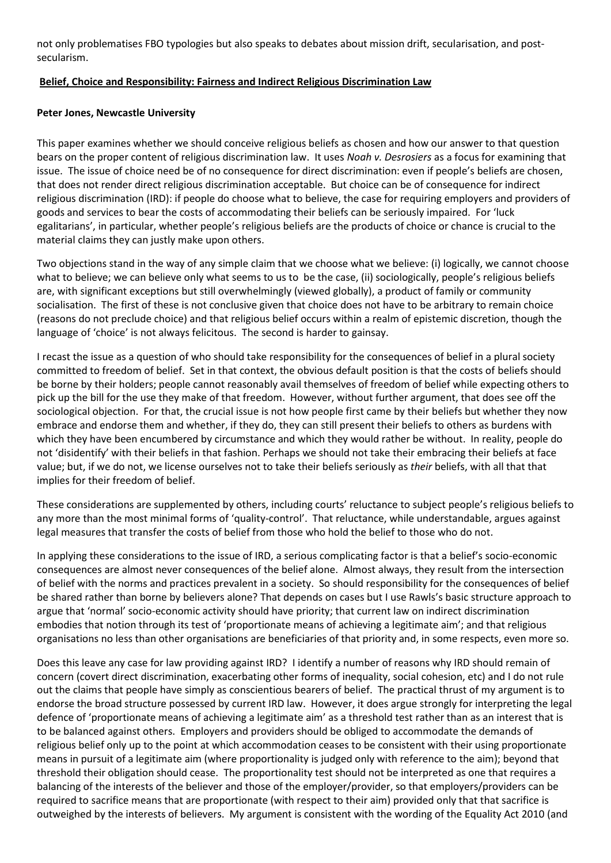not only problematises FBO typologies but also speaks to debates about mission drift, secularisation, and postsecularism.

#### **Belief, Choice and Responsibility: Fairness and Indirect Religious Discrimination Law**

#### **Peter Jones, Newcastle University**

This paper examines whether we should conceive religious beliefs as chosen and how our answer to that question bears on the proper content of religious discrimination law. It uses *Noah v. Desrosiers* as a focus for examining that issue. The issue of choice need be of no consequence for direct discrimination: even if people's beliefs are chosen, that does not render direct religious discrimination acceptable. But choice can be of consequence for indirect religious discrimination (IRD): if people do choose what to believe, the case for requiring employers and providers of goods and services to bear the costs of accommodating their beliefs can be seriously impaired. For 'luck egalitarians', in particular, whether people's religious beliefs are the products of choice or chance is crucial to the material claims they can justly make upon others.

Two objections stand in the way of any simple claim that we choose what we believe: (i) logically, we cannot choose what to believe; we can believe only what seems to us to be the case, (ii) sociologically, people's religious beliefs are, with significant exceptions but still overwhelmingly (viewed globally), a product of family or community socialisation. The first of these is not conclusive given that choice does not have to be arbitrary to remain choice (reasons do not preclude choice) and that religious belief occurs within a realm of epistemic discretion, though the language of 'choice' is not always felicitous. The second is harder to gainsay.

I recast the issue as a question of who should take responsibility for the consequences of belief in a plural society committed to freedom of belief. Set in that context, the obvious default position is that the costs of beliefs should be borne by their holders; people cannot reasonably avail themselves of freedom of belief while expecting others to pick up the bill for the use they make of that freedom. However, without further argument, that does see off the sociological objection. For that, the crucial issue is not how people first came by their beliefs but whether they now embrace and endorse them and whether, if they do, they can still present their beliefs to others as burdens with which they have been encumbered by circumstance and which they would rather be without. In reality, people do not 'disidentify' with their beliefs in that fashion. Perhaps we should not take their embracing their beliefs at face value; but, if we do not, we license ourselves not to take their beliefs seriously as *their* beliefs, with all that that implies for their freedom of belief.

These considerations are supplemented by others, including courts' reluctance to subject people's religious beliefs to any more than the most minimal forms of 'quality-control'. That reluctance, while understandable, argues against legal measures that transfer the costs of belief from those who hold the belief to those who do not.

In applying these considerations to the issue of IRD, a serious complicating factor is that a belief's socio-economic consequences are almost never consequences of the belief alone. Almost always, they result from the intersection of belief with the norms and practices prevalent in a society. So should responsibility for the consequences of belief be shared rather than borne by believers alone? That depends on cases but I use Rawls's basic structure approach to argue that 'normal' socio-economic activity should have priority; that current law on indirect discrimination embodies that notion through its test of 'proportionate means of achieving a legitimate aim'; and that religious organisations no less than other organisations are beneficiaries of that priority and, in some respects, even more so.

Does this leave any case for law providing against IRD? I identify a number of reasons why IRD should remain of concern (covert direct discrimination, exacerbating other forms of inequality, social cohesion, etc) and I do not rule out the claims that people have simply as conscientious bearers of belief. The practical thrust of my argument is to endorse the broad structure possessed by current IRD law. However, it does argue strongly for interpreting the legal defence of 'proportionate means of achieving a legitimate aim' as a threshold test rather than as an interest that is to be balanced against others. Employers and providers should be obliged to accommodate the demands of religious belief only up to the point at which accommodation ceases to be consistent with their using proportionate means in pursuit of a legitimate aim (where proportionality is judged only with reference to the aim); beyond that threshold their obligation should cease. The proportionality test should not be interpreted as one that requires a balancing of the interests of the believer and those of the employer/provider, so that employers/providers can be required to sacrifice means that are proportionate (with respect to their aim) provided only that that sacrifice is outweighed by the interests of believers. My argument is consistent with the wording of the Equality Act 2010 (and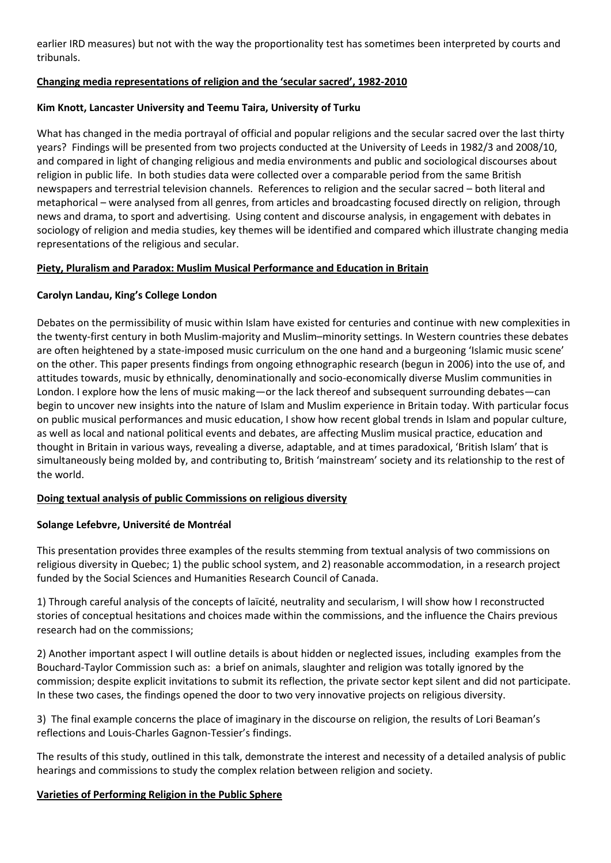earlier IRD measures) but not with the way the proportionality test has sometimes been interpreted by courts and tribunals.

#### **Changing media representations of religion and the 'secular sacred', 1982-2010**

#### **Kim Knott, Lancaster University and Teemu Taira, University of Turku**

What has changed in the media portrayal of official and popular religions and the secular sacred over the last thirty years? Findings will be presented from two projects conducted at the University of Leeds in 1982/3 and 2008/10, and compared in light of changing religious and media environments and public and sociological discourses about religion in public life. In both studies data were collected over a comparable period from the same British newspapers and terrestrial television channels. References to religion and the secular sacred – both literal and metaphorical – were analysed from all genres, from articles and broadcasting focused directly on religion, through news and drama, to sport and advertising. Using content and discourse analysis, in engagement with debates in sociology of religion and media studies, key themes will be identified and compared which illustrate changing media representations of the religious and secular.

### **Piety, Pluralism and Paradox: Muslim Musical Performance and Education in Britain**

#### **Carolyn Landau, King's College London**

Debates on the permissibility of music within Islam have existed for centuries and continue with new complexities in the twenty-first century in both Muslim-majority and Muslim–minority settings. In Western countries these debates are often heightened by a state-imposed music curriculum on the one hand and a burgeoning 'Islamic music scene' on the other. This paper presents findings from ongoing ethnographic research (begun in 2006) into the use of, and attitudes towards, music by ethnically, denominationally and socio-economically diverse Muslim communities in London. I explore how the lens of music making—or the lack thereof and subsequent surrounding debates—can begin to uncover new insights into the nature of Islam and Muslim experience in Britain today. With particular focus on public musical performances and music education, I show how recent global trends in Islam and popular culture, as well as local and national political events and debates, are affecting Muslim musical practice, education and thought in Britain in various ways, revealing a diverse, adaptable, and at times paradoxical, 'British Islam' that is simultaneously being molded by, and contributing to, British 'mainstream' society and its relationship to the rest of the world.

### **Doing textual analysis of public Commissions on religious diversity**

### **Solange Lefebvre, Université de Montréal**

This presentation provides three examples of the results stemming from textual analysis of two commissions on religious diversity in Quebec; 1) the public school system, and 2) reasonable accommodation, in a research project funded by the Social Sciences and Humanities Research Council of Canada.

1) Through careful analysis of the concepts of laïcité, neutrality and secularism, I will show how I reconstructed stories of conceptual hesitations and choices made within the commissions, and the influence the Chairs previous research had on the commissions;

2) Another important aspect I will outline details is about hidden or neglected issues, including examples from the Bouchard-Taylor Commission such as: a brief on animals, slaughter and religion was totally ignored by the commission; despite explicit invitations to submit its reflection, the private sector kept silent and did not participate. In these two cases, the findings opened the door to two very innovative projects on religious diversity.

3) The final example concerns the place of imaginary in the discourse on religion, the results of Lori Beaman's reflections and Louis-Charles Gagnon-Tessier's findings.

The results of this study, outlined in this talk, demonstrate the interest and necessity of a detailed analysis of public hearings and commissions to study the complex relation between religion and society.

### **Varieties of Performing Religion in the Public Sphere**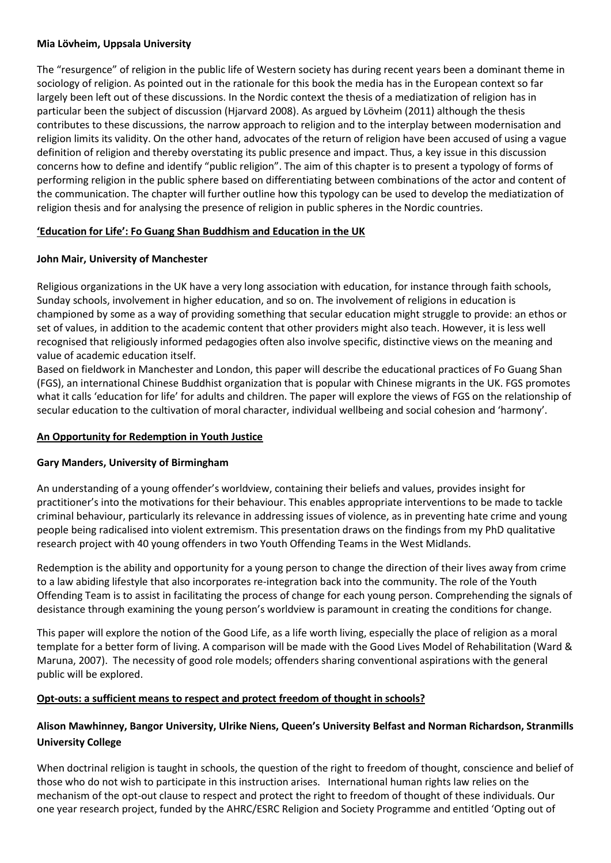#### **Mia Lövheim, Uppsala University**

The "resurgence" of religion in the public life of Western society has during recent years been a dominant theme in sociology of religion. As pointed out in the rationale for this book the media has in the European context so far largely been left out of these discussions. In the Nordic context the thesis of a mediatization of religion has in particular been the subject of discussion (Hjarvard 2008). As argued by Lövheim (2011) although the thesis contributes to these discussions, the narrow approach to religion and to the interplay between modernisation and religion limits its validity. On the other hand, advocates of the return of religion have been accused of using a vague definition of religion and thereby overstating its public presence and impact. Thus, a key issue in this discussion concerns how to define and identify "public religion". The aim of this chapter is to present a typology of forms of performing religion in the public sphere based on differentiating between combinations of the actor and content of the communication. The chapter will further outline how this typology can be used to develop the mediatization of religion thesis and for analysing the presence of religion in public spheres in the Nordic countries.

### **'Education for Life': Fo Guang Shan Buddhism and Education in the UK**

### **John Mair, University of Manchester**

Religious organizations in the UK have a very long association with education, for instance through faith schools, Sunday schools, involvement in higher education, and so on. The involvement of religions in education is championed by some as a way of providing something that secular education might struggle to provide: an ethos or set of values, in addition to the academic content that other providers might also teach. However, it is less well recognised that religiously informed pedagogies often also involve specific, distinctive views on the meaning and value of academic education itself.

Based on fieldwork in Manchester and London, this paper will describe the educational practices of Fo Guang Shan (FGS), an international Chinese Buddhist organization that is popular with Chinese migrants in the UK. FGS promotes what it calls 'education for life' for adults and children. The paper will explore the views of FGS on the relationship of secular education to the cultivation of moral character, individual wellbeing and social cohesion and 'harmony'.

### **An Opportunity for Redemption in Youth Justice**

### **Gary Manders, University of Birmingham**

An understanding of a young offender's worldview, containing their beliefs and values, provides insight for practitioner's into the motivations for their behaviour. This enables appropriate interventions to be made to tackle criminal behaviour, particularly its relevance in addressing issues of violence, as in preventing hate crime and young people being radicalised into violent extremism. This presentation draws on the findings from my PhD qualitative research project with 40 young offenders in two Youth Offending Teams in the West Midlands.

Redemption is the ability and opportunity for a young person to change the direction of their lives away from crime to a law abiding lifestyle that also incorporates re-integration back into the community. The role of the Youth Offending Team is to assist in facilitating the process of change for each young person. Comprehending the signals of desistance through examining the young person's worldview is paramount in creating the conditions for change.

This paper will explore the notion of the Good Life, as a life worth living, especially the place of religion as a moral template for a better form of living. A comparison will be made with the Good Lives Model of Rehabilitation (Ward & Maruna, 2007). The necessity of good role models; offenders sharing conventional aspirations with the general public will be explored.

### **Opt-outs: a sufficient means to respect and protect freedom of thought in schools?**

### **Alison Mawhinney, Bangor University, Ulrike Niens, Queen's University Belfast and Norman Richardson, Stranmills University College**

When doctrinal religion is taught in schools, the question of the right to freedom of thought, conscience and belief of those who do not wish to participate in this instruction arises. International human rights law relies on the mechanism of the opt-out clause to respect and protect the right to freedom of thought of these individuals. Our one year research project, funded by the AHRC/ESRC Religion and Society Programme and entitled 'Opting out of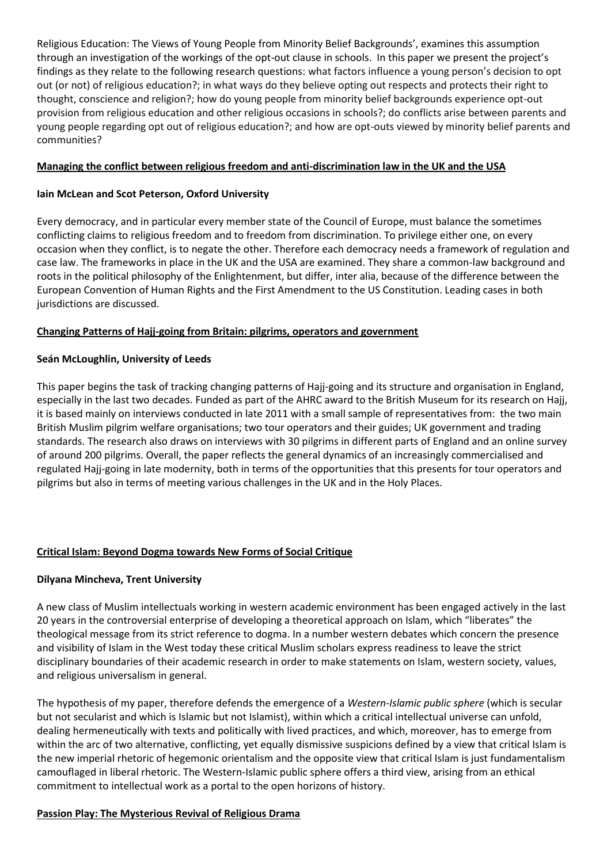Religious Education: The Views of Young People from Minority Belief Backgrounds', examines this assumption through an investigation of the workings of the opt-out clause in schools. In this paper we present the project's findings as they relate to the following research questions: what factors influence a young person's decision to opt out (or not) of religious education?; in what ways do they believe opting out respects and protects their right to thought, conscience and religion?; how do young people from minority belief backgrounds experience opt-out provision from religious education and other religious occasions in schools?; do conflicts arise between parents and young people regarding opt out of religious education?; and how are opt-outs viewed by minority belief parents and communities?

### **Managing the conflict between religious freedom and anti-discrimination law in the UK and the USA**

### **Iain McLean and Scot Peterson, Oxford University**

Every democracy, and in particular every member state of the Council of Europe, must balance the sometimes conflicting claims to religious freedom and to freedom from discrimination. To privilege either one, on every occasion when they conflict, is to negate the other. Therefore each democracy needs a framework of regulation and case law. The frameworks in place in the UK and the USA are examined. They share a common-law background and roots in the political philosophy of the Enlightenment, but differ, inter alia, because of the difference between the European Convention of Human Rights and the First Amendment to the US Constitution. Leading cases in both jurisdictions are discussed.

### **Changing Patterns of Hajj-going from Britain: pilgrims, operators and government**

### **Seán McLoughlin, University of Leeds**

This paper begins the task of tracking changing patterns of Hajj-going and its structure and organisation in England, especially in the last two decades. Funded as part of the AHRC award to the British Museum for its research on Hajj, it is based mainly on interviews conducted in late 2011 with a small sample of representatives from: the two main British Muslim pilgrim welfare organisations; two tour operators and their guides; UK government and trading standards. The research also draws on interviews with 30 pilgrims in different parts of England and an online survey of around 200 pilgrims. Overall, the paper reflects the general dynamics of an increasingly commercialised and regulated Hajj-going in late modernity, both in terms of the opportunities that this presents for tour operators and pilgrims but also in terms of meeting various challenges in the UK and in the Holy Places.

### **Critical Islam: Beyond Dogma towards New Forms of Social Critique**

### **Dilyana Mincheva, Trent University**

A new class of Muslim intellectuals working in western academic environment has been engaged actively in the last 20 years in the controversial enterprise of developing a theoretical approach on Islam, which "liberates" the theological message from its strict reference to dogma. In a number western debates which concern the presence and visibility of Islam in the West today these critical Muslim scholars express readiness to leave the strict disciplinary boundaries of their academic research in order to make statements on Islam, western society, values, and religious universalism in general.

The hypothesis of my paper, therefore defends the emergence of a *Western-Islamic public sphere* (which is secular but not secularist and which is Islamic but not Islamist), within which a critical intellectual universe can unfold, dealing hermeneutically with texts and politically with lived practices, and which, moreover, has to emerge from within the arc of two alternative, conflicting, yet equally dismissive suspicions defined by a view that critical Islam is the new imperial rhetoric of hegemonic orientalism and the opposite view that critical Islam is just fundamentalism camouflaged in liberal rhetoric. The Western-Islamic public sphere offers a third view, arising from an ethical commitment to intellectual work as a portal to the open horizons of history.

### **Passion Play: The Mysterious Revival of Religious Drama**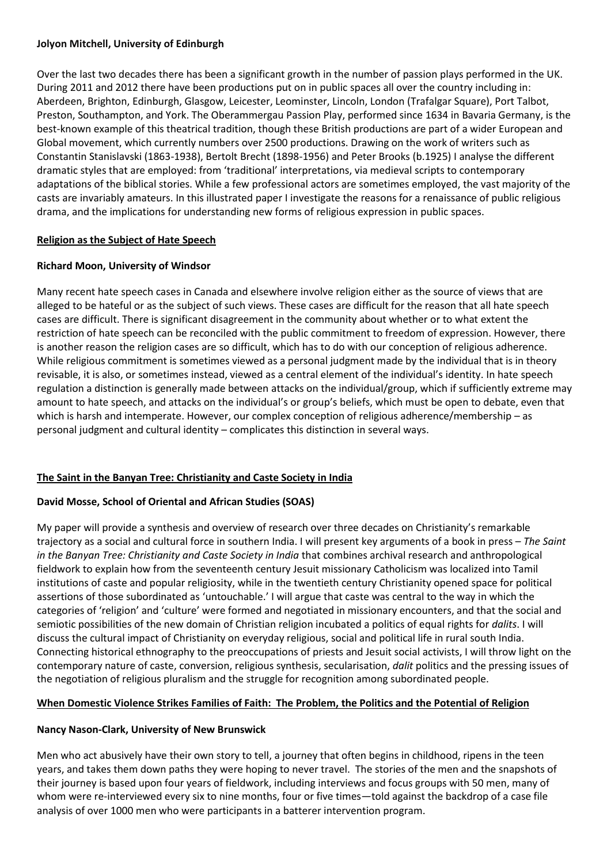#### **Jolyon Mitchell, University of Edinburgh**

Over the last two decades there has been a significant growth in the number of passion plays performed in the UK. During 2011 and 2012 there have been productions put on in public spaces all over the country including in: Aberdeen, Brighton, Edinburgh, Glasgow, Leicester, Leominster, Lincoln, London (Trafalgar Square), Port Talbot, Preston, Southampton, and York. The Oberammergau Passion Play, performed since 1634 in Bavaria Germany, is the best-known example of this theatrical tradition, though these British productions are part of a wider European and Global movement, which currently numbers over 2500 productions. Drawing on the work of writers such as Constantin Stanislavski (1863-1938), Bertolt Brecht (1898-1956) and Peter Brooks (b.1925) I analyse the different dramatic styles that are employed: from 'traditional' interpretations, via medieval scripts to contemporary adaptations of the biblical stories. While a few professional actors are sometimes employed, the vast majority of the casts are invariably amateurs. In this illustrated paper I investigate the reasons for a renaissance of public religious drama, and the implications for understanding new forms of religious expression in public spaces.

### **Religion as the Subject of Hate Speech**

### **Richard Moon, University of Windsor**

Many recent hate speech cases in Canada and elsewhere involve religion either as the source of views that are alleged to be hateful or as the subject of such views. These cases are difficult for the reason that all hate speech cases are difficult. There is significant disagreement in the community about whether or to what extent the restriction of hate speech can be reconciled with the public commitment to freedom of expression. However, there is another reason the religion cases are so difficult, which has to do with our conception of religious adherence. While religious commitment is sometimes viewed as a personal judgment made by the individual that is in theory revisable, it is also, or sometimes instead, viewed as a central element of the individual's identity. In hate speech regulation a distinction is generally made between attacks on the individual/group, which if sufficiently extreme may amount to hate speech, and attacks on the individual's or group's beliefs, which must be open to debate, even that which is harsh and intemperate. However, our complex conception of religious adherence/membership – as personal judgment and cultural identity – complicates this distinction in several ways.

### **The Saint in the Banyan Tree: Christianity and Caste Society in India**

### **David Mosse, School of Oriental and African Studies (SOAS)**

My paper will provide a synthesis and overview of research over three decades on Christianity's remarkable trajectory as a social and cultural force in southern India. I will present key arguments of a book in press – *The Saint in the Banyan Tree: Christianity and Caste Society in India* that combines archival research and anthropological fieldwork to explain how from the seventeenth century Jesuit missionary Catholicism was localized into Tamil institutions of caste and popular religiosity, while in the twentieth century Christianity opened space for political assertions of those subordinated as 'untouchable.' I will argue that caste was central to the way in which the categories of 'religion' and 'culture' were formed and negotiated in missionary encounters, and that the social and semiotic possibilities of the new domain of Christian religion incubated a politics of equal rights for *dalits*. I will discuss the cultural impact of Christianity on everyday religious, social and political life in rural south India. Connecting historical ethnography to the preoccupations of priests and Jesuit social activists, I will throw light on the contemporary nature of caste, conversion, religious synthesis, secularisation, *dalit* politics and the pressing issues of the negotiation of religious pluralism and the struggle for recognition among subordinated people.

### **When Domestic Violence Strikes Families of Faith: The Problem, the Politics and the Potential of Religion**

### **Nancy Nason-Clark, University of New Brunswick**

Men who act abusively have their own story to tell, a journey that often begins in childhood, ripens in the teen years, and takes them down paths they were hoping to never travel. The stories of the men and the snapshots of their journey is based upon four years of fieldwork, including interviews and focus groups with 50 men, many of whom were re-interviewed every six to nine months, four or five times—told against the backdrop of a case file analysis of over 1000 men who were participants in a batterer intervention program.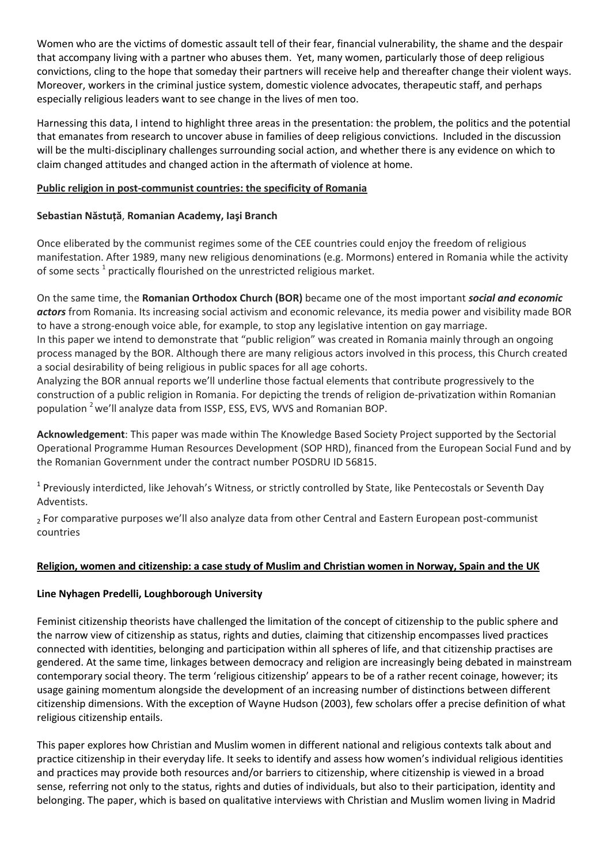Women who are the victims of domestic assault tell of their fear, financial vulnerability, the shame and the despair that accompany living with a partner who abuses them. Yet, many women, particularly those of deep religious convictions, cling to the hope that someday their partners will receive help and thereafter change their violent ways. Moreover, workers in the criminal justice system, domestic violence advocates, therapeutic staff, and perhaps especially religious leaders want to see change in the lives of men too.

Harnessing this data, I intend to highlight three areas in the presentation: the problem, the politics and the potential that emanates from research to uncover abuse in families of deep religious convictions. Included in the discussion will be the multi-disciplinary challenges surrounding social action, and whether there is any evidence on which to claim changed attitudes and changed action in the aftermath of violence at home.

### **Public religion in post-communist countries: the specificity of Romania**

### **Sebastian Năstuţă**, **Romanian Academy, Iaşi Branch**

Once eliberated by the communist regimes some of the CEE countries could enjoy the freedom of religious manifestation. After 1989, many new religious denominations (e.g. Mormons) entered in Romania while the activity of some sects<sup>1</sup> practically flourished on the unrestricted religious market.

On the same time, the **Romanian Orthodox Church (BOR)** became one of the most important *social and economic actors* from Romania. Its increasing social activism and economic relevance, its media power and visibility made BOR to have a strong-enough voice able, for example, to stop any legislative intention on gay marriage. In this paper we intend to demonstrate that "public religion" was created in Romania mainly through an ongoing process managed by the BOR. Although there are many religious actors involved in this process, this Church created a social desirability of being religious in public spaces for all age cohorts.

Analyzing the BOR annual reports we'll underline those factual elements that contribute progressively to the construction of a public religion in Romania. For depicting the trends of religion de-privatization within Romanian population <sup>2</sup>we'll analyze data from ISSP, ESS, EVS, WVS and Romanian BOP.

**Acknowledgement**: This paper was made within The Knowledge Based Society Project supported by the Sectorial Operational Programme Human Resources Development (SOP HRD), financed from the European Social Fund and by the Romanian Government under the contract number POSDRU ID 56815.

<sup>1</sup> Previously interdicted, like Jehovah's Witness, or strictly controlled by State, like Pentecostals or Seventh Day Adventists.

<sub>2</sub> For comparative purposes we'll also analyze data from other Central and Eastern European post-communist countries

### **Religion, women and citizenship: a case study of Muslim and Christian women in Norway, Spain and the UK**

### **Line Nyhagen Predelli, Loughborough University**

Feminist citizenship theorists have challenged the limitation of the concept of citizenship to the public sphere and the narrow view of citizenship as status, rights and duties, claiming that citizenship encompasses lived practices connected with identities, belonging and participation within all spheres of life, and that citizenship practises are gendered. At the same time, linkages between democracy and religion are increasingly being debated in mainstream contemporary social theory. The term 'religious citizenship' appears to be of a rather recent coinage, however; its usage gaining momentum alongside the development of an increasing number of distinctions between different citizenship dimensions. With the exception of Wayne Hudson (2003), few scholars offer a precise definition of what religious citizenship entails.

This paper explores how Christian and Muslim women in different national and religious contexts talk about and practice citizenship in their everyday life. It seeks to identify and assess how women's individual religious identities and practices may provide both resources and/or barriers to citizenship, where citizenship is viewed in a broad sense, referring not only to the status, rights and duties of individuals, but also to their participation, identity and belonging. The paper, which is based on qualitative interviews with Christian and Muslim women living in Madrid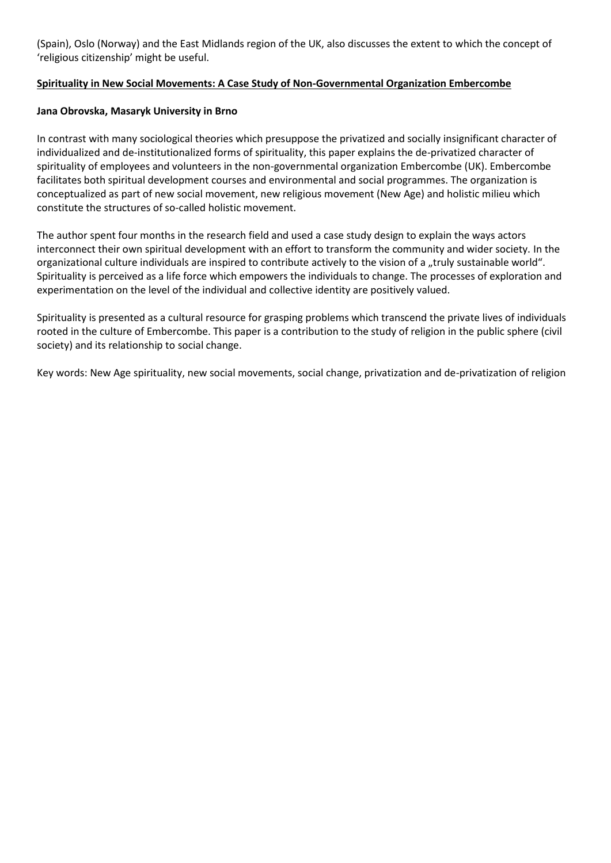(Spain), Oslo (Norway) and the East Midlands region of the UK, also discusses the extent to which the concept of 'religious citizenship' might be useful.

### **Spirituality in New Social Movements: A Case Study of Non-Governmental Organization Embercombe**

#### **Jana Obrovska, Masaryk University in Brno**

In contrast with many sociological theories which presuppose the privatized and socially insignificant character of individualized and de-institutionalized forms of spirituality, this paper explains the de-privatized character of spirituality of employees and volunteers in the non-governmental organization Embercombe (UK). Embercombe facilitates both spiritual development courses and environmental and social programmes. The organization is conceptualized as part of new social movement, new religious movement (New Age) and holistic milieu which constitute the structures of so-called holistic movement.

The author spent four months in the research field and used a case study design to explain the ways actors interconnect their own spiritual development with an effort to transform the community and wider society. In the organizational culture individuals are inspired to contribute actively to the vision of a "truly sustainable world". Spirituality is perceived as a life force which empowers the individuals to change. The processes of exploration and experimentation on the level of the individual and collective identity are positively valued.

Spirituality is presented as a cultural resource for grasping problems which transcend the private lives of individuals rooted in the culture of Embercombe. This paper is a contribution to the study of religion in the public sphere (civil society) and its relationship to social change.

Key words: New Age spirituality, new social movements, social change, privatization and de-privatization of religion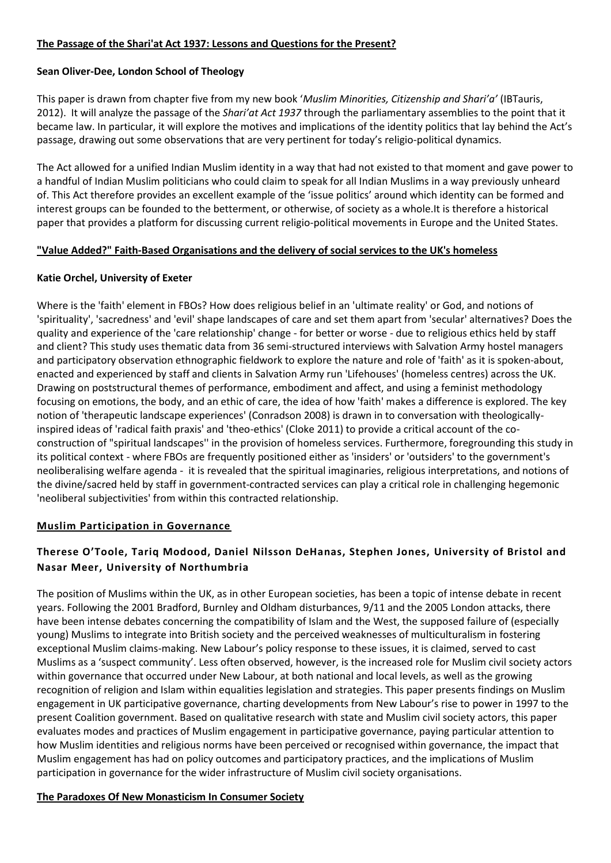#### **The Passage of the Shari'at Act 1937: Lessons and Questions for the Present?**

#### **Sean Oliver-Dee, London School of Theology**

This paper is drawn from chapter five from my new book '*Muslim Minorities, Citizenship and Shari'a'* (IBTauris, 2012). It will analyze the passage of the *Shari'at Act 1937* through the parliamentary assemblies to the point that it became law. In particular, it will explore the motives and implications of the identity politics that lay behind the Act's passage, drawing out some observations that are very pertinent for today's religio-political dynamics.

The Act allowed for a unified Indian Muslim identity in a way that had not existed to that moment and gave power to a handful of Indian Muslim politicians who could claim to speak for all Indian Muslims in a way previously unheard of. This Act therefore provides an excellent example of the 'issue politics' around which identity can be formed and interest groups can be founded to the betterment, or otherwise, of society as a whole.It is therefore a historical paper that provides a platform for discussing current religio-political movements in Europe and the United States.

### **"Value Added?" Faith-Based Organisations and the delivery of social services to the UK's homeless**

#### **Katie Orchel, University of Exeter**

Where is the 'faith' element in FBOs? How does religious belief in an 'ultimate reality' or God, and notions of 'spirituality', 'sacredness' and 'evil' shape landscapes of care and set them apart from 'secular' alternatives? Does the quality and experience of the 'care relationship' change - for better or worse - due to religious ethics held by staff and client? This study uses thematic data from 36 semi-structured interviews with Salvation Army hostel managers and participatory observation ethnographic fieldwork to explore the nature and role of 'faith' as it is spoken-about, enacted and experienced by staff and clients in Salvation Army run 'Lifehouses' (homeless centres) across the UK. Drawing on poststructural themes of performance, embodiment and affect, and using a feminist methodology focusing on emotions, the body, and an ethic of care, the idea of how 'faith' makes a difference is explored. The key notion of 'therapeutic landscape experiences' (Conradson 2008) is drawn in to conversation with theologicallyinspired ideas of 'radical faith praxis' and 'theo-ethics' (Cloke 2011) to provide a critical account of the coconstruction of "spiritual landscapes'' in the provision of homeless services. Furthermore, foregrounding this study in its political context - where FBOs are frequently positioned either as 'insiders' or 'outsiders' to the government's neoliberalising welfare agenda - it is revealed that the spiritual imaginaries, religious interpretations, and notions of the divine/sacred held by staff in government-contracted services can play a critical role in challenging hegemonic 'neoliberal subjectivities' from within this contracted relationship.

### **Muslim Participation in Governance**

### **Therese O'Toole, Tariq Modood, Daniel Nilsson DeHanas, Stephen Jones, University of Bristol and Nasar Meer, University of Northumbria**

The position of Muslims within the UK, as in other European societies, has been a topic of intense debate in recent years. Following the 2001 Bradford, Burnley and Oldham disturbances, 9/11 and the 2005 London attacks, there have been intense debates concerning the compatibility of Islam and the West, the supposed failure of (especially young) Muslims to integrate into British society and the perceived weaknesses of multiculturalism in fostering exceptional Muslim claims-making. New Labour's policy response to these issues, it is claimed, served to cast Muslims as a 'suspect community'. Less often observed, however, is the increased role for Muslim civil society actors within governance that occurred under New Labour, at both national and local levels, as well as the growing recognition of religion and Islam within equalities legislation and strategies. This paper presents findings on Muslim engagement in UK participative governance, charting developments from New Labour's rise to power in 1997 to the present Coalition government. Based on qualitative research with state and Muslim civil society actors, this paper evaluates modes and practices of Muslim engagement in participative governance, paying particular attention to how Muslim identities and religious norms have been perceived or recognised within governance, the impact that Muslim engagement has had on policy outcomes and participatory practices, and the implications of Muslim participation in governance for the wider infrastructure of Muslim civil society organisations.

### **The Paradoxes Of New Monasticism In Consumer Society**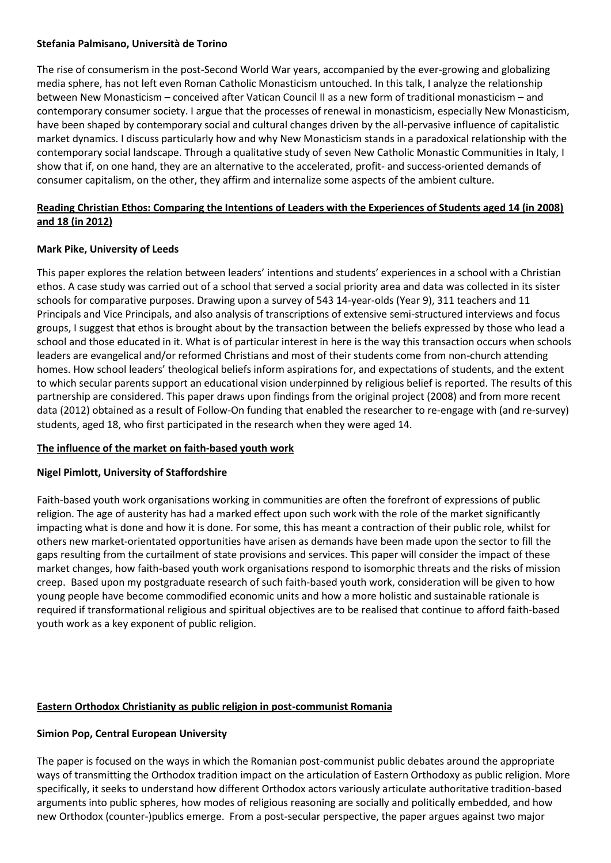#### **Stefania Palmisano, Università de Torino**

The rise of consumerism in the post-Second World War years, accompanied by the ever-growing and globalizing media sphere, has not left even Roman Catholic Monasticism untouched. In this talk, I analyze the relationship between New Monasticism – conceived after Vatican Council II as a new form of traditional monasticism – and contemporary consumer society. I argue that the processes of renewal in monasticism, especially New Monasticism, have been shaped by contemporary social and cultural changes driven by the all-pervasive influence of capitalistic market dynamics. I discuss particularly how and why New Monasticism stands in a paradoxical relationship with the contemporary social landscape. Through a qualitative study of seven New Catholic Monastic Communities in Italy, I show that if, on one hand, they are an alternative to the accelerated, profit- and success-oriented demands of consumer capitalism, on the other, they affirm and internalize some aspects of the ambient culture.

### **Reading Christian Ethos: Comparing the Intentions of Leaders with the Experiences of Students aged 14 (in 2008) and 18 (in 2012)**

### **Mark Pike, University of Leeds**

This paper explores the relation between leaders' intentions and students' experiences in a school with a Christian ethos. A case study was carried out of a school that served a social priority area and data was collected in its sister schools for comparative purposes. Drawing upon a survey of 543 14-year-olds (Year 9), 311 teachers and 11 Principals and Vice Principals, and also analysis of transcriptions of extensive semi-structured interviews and focus groups, I suggest that ethos is brought about by the transaction between the beliefs expressed by those who lead a school and those educated in it. What is of particular interest in here is the way this transaction occurs when schools leaders are evangelical and/or reformed Christians and most of their students come from non-church attending homes. How school leaders' theological beliefs inform aspirations for, and expectations of students, and the extent to which secular parents support an educational vision underpinned by religious belief is reported. The results of this partnership are considered. This paper draws upon findings from the original project (2008) and from more recent data (2012) obtained as a result of Follow-On funding that enabled the researcher to re-engage with (and re-survey) students, aged 18, who first participated in the research when they were aged 14.

### **The influence of the market on faith-based youth work**

### **Nigel Pimlott, University of Staffordshire**

Faith-based youth work organisations working in communities are often the forefront of expressions of public religion. The age of austerity has had a marked effect upon such work with the role of the market significantly impacting what is done and how it is done. For some, this has meant a contraction of their public role, whilst for others new market-orientated opportunities have arisen as demands have been made upon the sector to fill the gaps resulting from the curtailment of state provisions and services. This paper will consider the impact of these market changes, how faith-based youth work organisations respond to isomorphic threats and the risks of mission creep. Based upon my postgraduate research of such faith-based youth work, consideration will be given to how young people have become commodified economic units and how a more holistic and sustainable rationale is required if transformational religious and spiritual objectives are to be realised that continue to afford faith-based youth work as a key exponent of public religion.

### **Eastern Orthodox Christianity as public religion in post-communist Romania**

#### **Simion Pop, Central European University**

The paper is focused on the ways in which the Romanian post-communist public debates around the appropriate ways of transmitting the Orthodox tradition impact on the articulation of Eastern Orthodoxy as public religion. More specifically, it seeks to understand how different Orthodox actors variously articulate authoritative tradition-based arguments into public spheres, how modes of religious reasoning are socially and politically embedded, and how new Orthodox (counter-)publics emerge. From a post-secular perspective, the paper argues against two major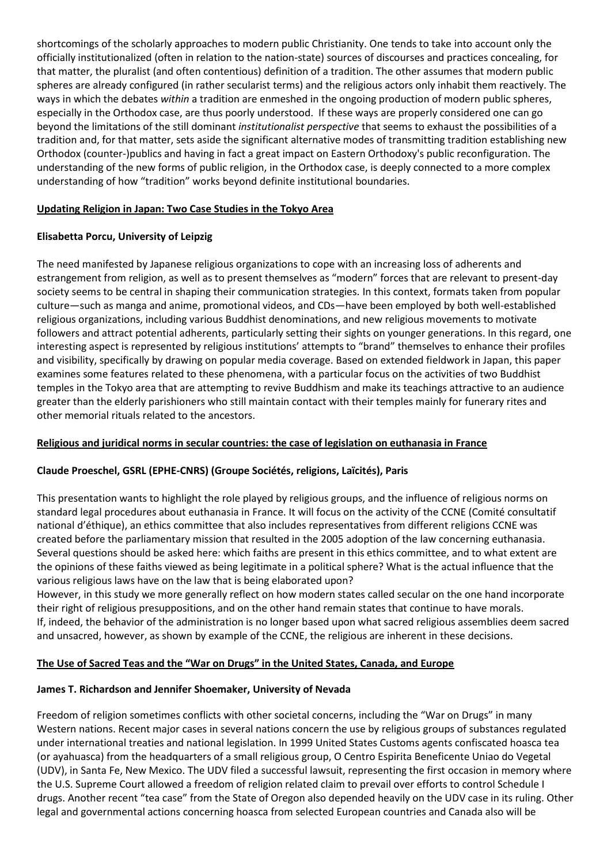shortcomings of the scholarly approaches to modern public Christianity. One tends to take into account only the officially institutionalized (often in relation to the nation-state) sources of discourses and practices concealing, for that matter, the pluralist (and often contentious) definition of a tradition. The other assumes that modern public spheres are already configured (in rather secularist terms) and the religious actors only inhabit them reactively. The ways in which the debates *within* a tradition are enmeshed in the ongoing production of modern public spheres, especially in the Orthodox case, are thus poorly understood. If these ways are properly considered one can go beyond the limitations of the still dominant *institutionalist perspective* that seems to exhaust the possibilities of a tradition and, for that matter, sets aside the significant alternative modes of transmitting tradition establishing new Orthodox (counter-)publics and having in fact a great impact on Eastern Orthodoxy's public reconfiguration. The understanding of the new forms of public religion, in the Orthodox case, is deeply connected to a more complex understanding of how "tradition" works beyond definite institutional boundaries.

### **Updating Religion in Japan: Two Case Studies in the Tokyo Area**

### **Elisabetta Porcu, University of Leipzig**

The need manifested by Japanese religious organizations to cope with an increasing loss of adherents and estrangement from religion, as well as to present themselves as "modern" forces that are relevant to present-day society seems to be central in shaping their communication strategies. In this context, formats taken from popular culture—such as manga and anime, promotional videos, and CDs—have been employed by both well-established religious organizations, including various Buddhist denominations, and new religious movements to motivate followers and attract potential adherents, particularly setting their sights on younger generations. In this regard, one interesting aspect is represented by religious institutions' attempts to "brand" themselves to enhance their profiles and visibility, specifically by drawing on popular media coverage. Based on extended fieldwork in Japan, this paper examines some features related to these phenomena, with a particular focus on the activities of two Buddhist temples in the Tokyo area that are attempting to revive Buddhism and make its teachings attractive to an audience greater than the elderly parishioners who still maintain contact with their temples mainly for funerary rites and other memorial rituals related to the ancestors.

### **Religious and juridical norms in secular countries: the case of legislation on euthanasia in France**

### **Claude Proeschel, GSRL (EPHE-CNRS) (Groupe Sociétés, religions, Laïcités), Paris**

This presentation wants to highlight the role played by religious groups, and the influence of religious norms on standard legal procedures about euthanasia in France. It will focus on the activity of the CCNE (Comité consultatif national d'éthique), an ethics committee that also includes representatives from different religions CCNE was created before the parliamentary mission that resulted in the 2005 adoption of the law concerning euthanasia. Several questions should be asked here: which faiths are present in this ethics committee, and to what extent are the opinions of these faiths viewed as being legitimate in a political sphere? What is the actual influence that the various religious laws have on the law that is being elaborated upon?

However, in this study we more generally reflect on how modern states called secular on the one hand incorporate their right of religious presuppositions, and on the other hand remain states that continue to have morals. If, indeed, the behavior of the administration is no longer based upon what sacred religious assemblies deem sacred and unsacred, however, as shown by example of the CCNE, the religious are inherent in these decisions.

### **The Use of Sacred Teas and the "War on Drugs" in the United States, Canada, and Europe**

#### **James T. Richardson and Jennifer Shoemaker, University of Nevada**

Freedom of religion sometimes conflicts with other societal concerns, including the "War on Drugs" in many Western nations. Recent major cases in several nations concern the use by religious groups of substances regulated under international treaties and national legislation. In 1999 United States Customs agents confiscated hoasca tea (or ayahuasca) from the headquarters of a small religious group, O Centro Espirita Beneficente Uniao do Vegetal (UDV), in Santa Fe, New Mexico. The UDV filed a successful lawsuit, representing the first occasion in memory where the U.S. Supreme Court allowed a freedom of religion related claim to prevail over efforts to control Schedule I drugs. Another recent "tea case" from the State of Oregon also depended heavily on the UDV case in its ruling. Other legal and governmental actions concerning hoasca from selected European countries and Canada also will be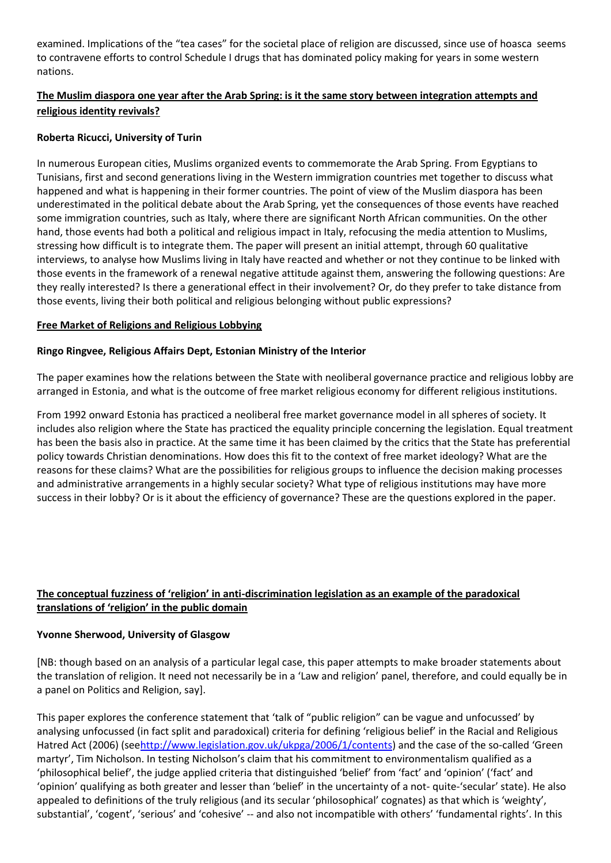examined. Implications of the "tea cases" for the societal place of religion are discussed, since use of hoasca seems to contravene efforts to control Schedule I drugs that has dominated policy making for years in some western nations.

### **The Muslim diaspora one year after the Arab Spring: is it the same story between integration attempts and religious identity revivals?**

### **Roberta Ricucci, University of Turin**

In numerous European cities, Muslims organized events to commemorate the Arab Spring. From Egyptians to Tunisians, first and second generations living in the Western immigration countries met together to discuss what happened and what is happening in their former countries. The point of view of the Muslim diaspora has been underestimated in the political debate about the Arab Spring, yet the consequences of those events have reached some immigration countries, such as Italy, where there are significant North African communities. On the other hand, those events had both a political and religious impact in Italy, refocusing the media attention to Muslims, stressing how difficult is to integrate them. The paper will present an initial attempt, through 60 qualitative interviews, to analyse how Muslims living in Italy have reacted and whether or not they continue to be linked with those events in the framework of a renewal negative attitude against them, answering the following questions: Are they really interested? Is there a generational effect in their involvement? Or, do they prefer to take distance from those events, living their both political and religious belonging without public expressions?

#### **Free Market of Religions and Religious Lobbying**

#### **Ringo Ringvee, Religious Affairs Dept, Estonian Ministry of the Interior**

The paper examines how the relations between the State with neoliberal governance practice and religious lobby are arranged in Estonia, and what is the outcome of free market religious economy for different religious institutions.

From 1992 onward Estonia has practiced a neoliberal free market governance model in all spheres of society. It includes also religion where the State has practiced the equality principle concerning the legislation. Equal treatment has been the basis also in practice. At the same time it has been claimed by the critics that the State has preferential policy towards Christian denominations. How does this fit to the context of free market ideology? What are the reasons for these claims? What are the possibilities for religious groups to influence the decision making processes and administrative arrangements in a highly secular society? What type of religious institutions may have more success in their lobby? Or is it about the efficiency of governance? These are the questions explored in the paper.

### **The conceptual fuzziness of 'religion' in anti-discrimination legislation as an example of the paradoxical translations of 'religion' in the public domain**

#### **Yvonne Sherwood, University of Glasgow**

[NB: though based on an analysis of a particular legal case, this paper attempts to make broader statements about the translation of religion. It need not necessarily be in a 'Law and religion' panel, therefore, and could equally be in a panel on Politics and Religion, say].

This paper explores the conference statement that 'talk of "public religion" can be vague and unfocussed' by analysing unfocussed (in fact split and paradoxical) criteria for defining 'religious belief' in the Racial and Religious Hatred Act (2006) (se[ehttp://www.legislation.gov.uk/ukpga/2006/1/contents\)](http://www.legislation.gov.uk/ukpga/2006/1/contents) and the case of the so-called 'Green martyr', Tim Nicholson. In testing Nicholson's claim that his commitment to environmentalism qualified as a 'philosophical belief', the judge applied criteria that distinguished 'belief' from 'fact' and 'opinion' ('fact' and 'opinion' qualifying as both greater and lesser than 'belief' in the uncertainty of a not- quite-'secular' state). He also appealed to definitions of the truly religious (and its secular 'philosophical' cognates) as that which is 'weighty', substantial', 'cogent', 'serious' and 'cohesive' -- and also not incompatible with others' 'fundamental rights'. In this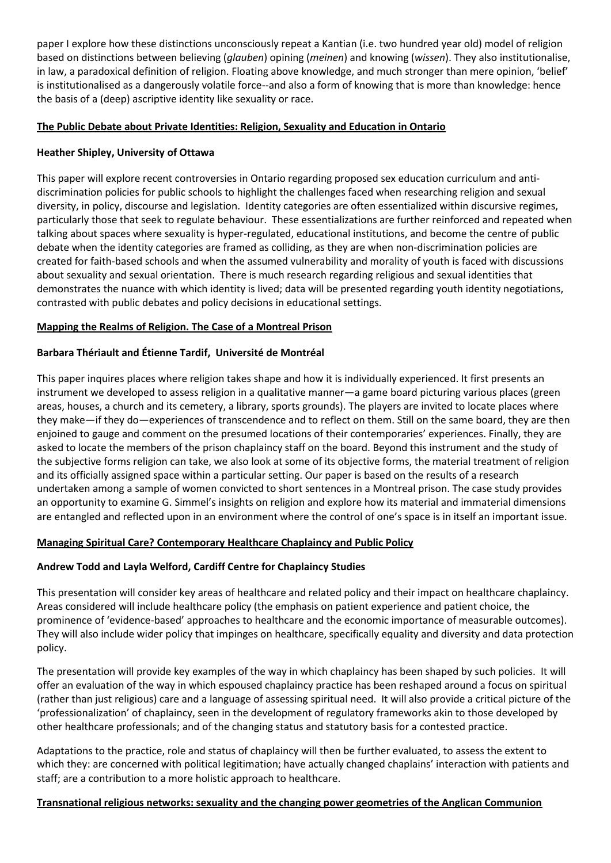paper I explore how these distinctions unconsciously repeat a Kantian (i.e. two hundred year old) model of religion based on distinctions between believing (*glauben*) opining (*meinen*) and knowing (*wissen*). They also institutionalise, in law, a paradoxical definition of religion. Floating above knowledge, and much stronger than mere opinion, 'belief' is institutionalised as a dangerously volatile force--and also a form of knowing that is more than knowledge: hence the basis of a (deep) ascriptive identity like sexuality or race.

### **The Public Debate about Private Identities: Religion, Sexuality and Education in Ontario**

#### **Heather Shipley, University of Ottawa**

This paper will explore recent controversies in Ontario regarding proposed sex education curriculum and antidiscrimination policies for public schools to highlight the challenges faced when researching religion and sexual diversity, in policy, discourse and legislation. Identity categories are often essentialized within discursive regimes, particularly those that seek to regulate behaviour. These essentializations are further reinforced and repeated when talking about spaces where sexuality is hyper-regulated, educational institutions, and become the centre of public debate when the identity categories are framed as colliding, as they are when non-discrimination policies are created for faith-based schools and when the assumed vulnerability and morality of youth is faced with discussions about sexuality and sexual orientation. There is much research regarding religious and sexual identities that demonstrates the nuance with which identity is lived; data will be presented regarding youth identity negotiations, contrasted with public debates and policy decisions in educational settings.

#### **Mapping the Realms of Religion. The Case of a Montreal Prison**

#### **Barbara Thériault and Étienne Tardif, Université de Montréal**

This paper inquires places where religion takes shape and how it is individually experienced. It first presents an instrument we developed to assess religion in a qualitative manner—a game board picturing various places (green areas, houses, a church and its cemetery, a library, sports grounds). The players are invited to locate places where they make—if they do—experiences of transcendence and to reflect on them. Still on the same board, they are then enjoined to gauge and comment on the presumed locations of their contemporaries' experiences. Finally, they are asked to locate the members of the prison chaplaincy staff on the board. Beyond this instrument and the study of the subjective forms religion can take, we also look at some of its objective forms, the material treatment of religion and its officially assigned space within a particular setting. Our paper is based on the results of a research undertaken among a sample of women convicted to short sentences in a Montreal prison. The case study provides an opportunity to examine G. Simmel's insights on religion and explore how its material and immaterial dimensions are entangled and reflected upon in an environment where the control of one's space is in itself an important issue.

#### **Managing Spiritual Care? Contemporary Healthcare Chaplaincy and Public Policy**

#### **Andrew Todd and Layla Welford, Cardiff Centre for Chaplaincy Studies**

This presentation will consider key areas of healthcare and related policy and their impact on healthcare chaplaincy. Areas considered will include healthcare policy (the emphasis on patient experience and patient choice, the prominence of 'evidence-based' approaches to healthcare and the economic importance of measurable outcomes). They will also include wider policy that impinges on healthcare, specifically equality and diversity and data protection policy.

The presentation will provide key examples of the way in which chaplaincy has been shaped by such policies. It will offer an evaluation of the way in which espoused chaplaincy practice has been reshaped around a focus on spiritual (rather than just religious) care and a language of assessing spiritual need. It will also provide a critical picture of the 'professionalization' of chaplaincy, seen in the development of regulatory frameworks akin to those developed by other healthcare professionals; and of the changing status and statutory basis for a contested practice.

Adaptations to the practice, role and status of chaplaincy will then be further evaluated, to assess the extent to which they: are concerned with political legitimation; have actually changed chaplains' interaction with patients and staff; are a contribution to a more holistic approach to healthcare.

#### **Transnational religious networks: sexuality and the changing power geometries of the Anglican Communion**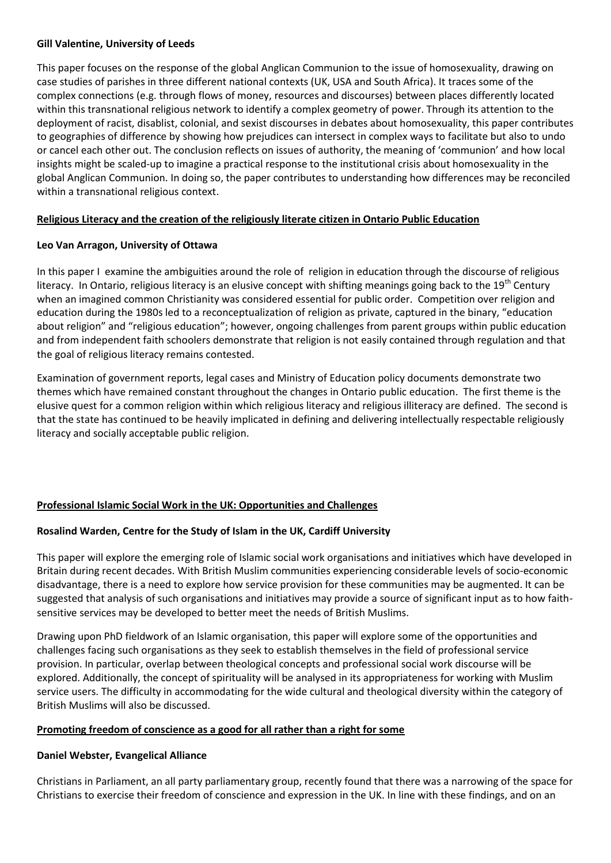#### **Gill Valentine, University of Leeds**

This paper focuses on the response of the global Anglican Communion to the issue of homosexuality, drawing on case studies of parishes in three different national contexts (UK, USA and South Africa). It traces some of the complex connections (e.g. through flows of money, resources and discourses) between places differently located within this transnational religious network to identify a complex geometry of power. Through its attention to the deployment of racist, disablist, colonial, and sexist discourses in debates about homosexuality, this paper contributes to geographies of difference by showing how prejudices can intersect in complex ways to facilitate but also to undo or cancel each other out. The conclusion reflects on issues of authority, the meaning of 'communion' and how local insights might be scaled-up to imagine a practical response to the institutional crisis about homosexuality in the global Anglican Communion. In doing so, the paper contributes to understanding how differences may be reconciled within a transnational religious context.

#### **Religious Literacy and the creation of the religiously literate citizen in Ontario Public Education**

#### **Leo Van Arragon, University of Ottawa**

In this paper I examine the ambiguities around the role of religion in education through the discourse of religious literacy. In Ontario, religious literacy is an elusive concept with shifting meanings going back to the 19<sup>th</sup> Century when an imagined common Christianity was considered essential for public order. Competition over religion and education during the 1980s led to a reconceptualization of religion as private, captured in the binary, "education about religion" and "religious education"; however, ongoing challenges from parent groups within public education and from independent faith schoolers demonstrate that religion is not easily contained through regulation and that the goal of religious literacy remains contested.

Examination of government reports, legal cases and Ministry of Education policy documents demonstrate two themes which have remained constant throughout the changes in Ontario public education. The first theme is the elusive quest for a common religion within which religious literacy and religious illiteracy are defined. The second is that the state has continued to be heavily implicated in defining and delivering intellectually respectable religiously literacy and socially acceptable public religion.

### **Professional Islamic Social Work in the UK: Opportunities and Challenges**

### **Rosalind Warden, Centre for the Study of Islam in the UK, Cardiff University**

This paper will explore the emerging role of Islamic social work organisations and initiatives which have developed in Britain during recent decades. With British Muslim communities experiencing considerable levels of socio-economic disadvantage, there is a need to explore how service provision for these communities may be augmented. It can be suggested that analysis of such organisations and initiatives may provide a source of significant input as to how faithsensitive services may be developed to better meet the needs of British Muslims.

Drawing upon PhD fieldwork of an Islamic organisation, this paper will explore some of the opportunities and challenges facing such organisations as they seek to establish themselves in the field of professional service provision. In particular, overlap between theological concepts and professional social work discourse will be explored. Additionally, the concept of spirituality will be analysed in its appropriateness for working with Muslim service users. The difficulty in accommodating for the wide cultural and theological diversity within the category of British Muslims will also be discussed.

#### **Promoting freedom of conscience as a good for all rather than a right for some**

### **Daniel Webster, Evangelical Alliance**

Christians in Parliament, an all party parliamentary group, recently found that there was a narrowing of the space for Christians to exercise their freedom of conscience and expression in the UK. In line with these findings, and on an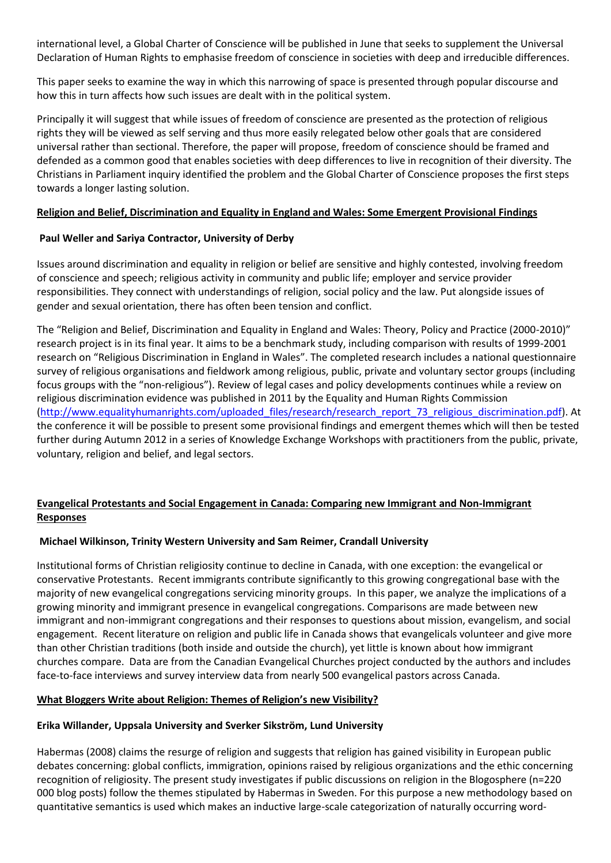international level, a Global Charter of Conscience will be published in June that seeks to supplement the Universal Declaration of Human Rights to emphasise freedom of conscience in societies with deep and irreducible differences.

This paper seeks to examine the way in which this narrowing of space is presented through popular discourse and how this in turn affects how such issues are dealt with in the political system.

Principally it will suggest that while issues of freedom of conscience are presented as the protection of religious rights they will be viewed as self serving and thus more easily relegated below other goals that are considered universal rather than sectional. Therefore, the paper will propose, freedom of conscience should be framed and defended as a common good that enables societies with deep differences to live in recognition of their diversity. The Christians in Parliament inquiry identified the problem and the Global Charter of Conscience proposes the first steps towards a longer lasting solution.

#### **Religion and Belief, Discrimination and Equality in England and Wales: Some Emergent Provisional Findings**

#### **Paul Weller and Sariya Contractor, University of Derby**

Issues around discrimination and equality in religion or belief are sensitive and highly contested, involving freedom of conscience and speech; religious activity in community and public life; employer and service provider responsibilities. They connect with understandings of religion, social policy and the law. Put alongside issues of gender and sexual orientation, there has often been tension and conflict.

The "Religion and Belief, Discrimination and Equality in England and Wales: Theory, Policy and Practice (2000-2010)" research project is in its final year. It aims to be a benchmark study, including comparison with results of 1999-2001 research on "Religious Discrimination in England in Wales". The completed research includes a national questionnaire survey of religious organisations and fieldwork among religious, public, private and voluntary sector groups (including focus groups with the "non-religious"). Review of legal cases and policy developments continues while a review on religious discrimination evidence was published in 2011 by the Equality and Human Rights Commission [\(http://www.equalityhumanrights.com/uploaded\\_files/research/research\\_report\\_73\\_religious\\_discrimination.pdf\)](http://www.equalityhumanrights.com/uploaded_files/research/research_report_73_religious_discrimination.pdf). At the conference it will be possible to present some provisional findings and emergent themes which will then be tested further during Autumn 2012 in a series of Knowledge Exchange Workshops with practitioners from the public, private, voluntary, religion and belief, and legal sectors.

### **Evangelical Protestants and Social Engagement in Canada: Comparing new Immigrant and Non-Immigrant Responses**

### **Michael Wilkinson, Trinity Western University and Sam Reimer, Crandall University**

Institutional forms of Christian religiosity continue to decline in Canada, with one exception: the evangelical or conservative Protestants. Recent immigrants contribute significantly to this growing congregational base with the majority of new evangelical congregations servicing minority groups. In this paper, we analyze the implications of a growing minority and immigrant presence in evangelical congregations. Comparisons are made between new immigrant and non-immigrant congregations and their responses to questions about mission, evangelism, and social engagement. Recent literature on religion and public life in Canada shows that evangelicals volunteer and give more than other Christian traditions (both inside and outside the church), yet little is known about how immigrant churches compare. Data are from the Canadian Evangelical Churches project conducted by the authors and includes face-to-face interviews and survey interview data from nearly 500 evangelical pastors across Canada.

### **What Bloggers Write about Religion: Themes of Religion's new Visibility?**

#### **Erika Willander, Uppsala University and Sverker Sikström, Lund University**

Habermas (2008) claims the resurge of religion and suggests that religion has gained visibility in European public debates concerning: global conflicts, immigration, opinions raised by religious organizations and the ethic concerning recognition of religiosity. The present study investigates if public discussions on religion in the Blogosphere (n=220 000 blog posts) follow the themes stipulated by Habermas in Sweden. For this purpose a new methodology based on quantitative semantics is used which makes an inductive large-scale categorization of naturally occurring word